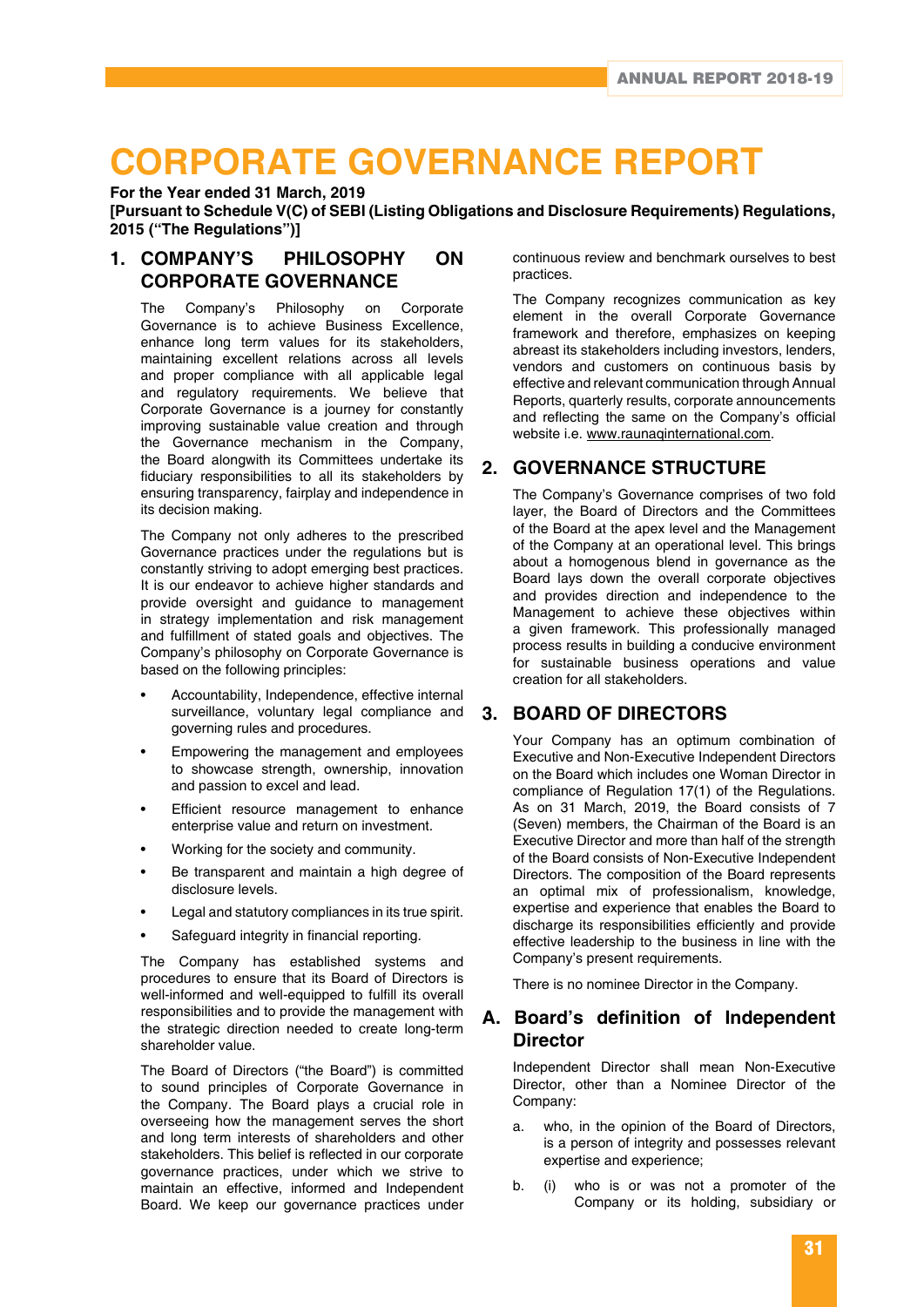# **CORPORATE GOVERNANCE REPORT**

**For the Year ended 31 March, 2019**

**[Pursuant to Schedule V(C) of SEBI (Listing Obligations and Disclosure Requirements) Regulations, 2015 ("The Regulations")]**

### **1. COMPANY'S PHILOSOPHY ON CORPORATE GOVERNANCE**

The Company's Philosophy on Corporate Governance is to achieve Business Excellence, enhance long term values for its stakeholders, maintaining excellent relations across all levels and proper compliance with all applicable legal and regulatory requirements. We believe that Corporate Governance is a journey for constantly improving sustainable value creation and through the Governance mechanism in the Company, the Board alongwith its Committees undertake its fiduciary responsibilities to all its stakeholders by ensuring transparency, fairplay and independence in its decision making.

The Company not only adheres to the prescribed Governance practices under the regulations but is constantly striving to adopt emerging best practices. It is our endeavor to achieve higher standards and provide oversight and guidance to management in strategy implementation and risk management and fulfillment of stated goals and objectives. The Company's philosophy on Corporate Governance is based on the following principles:

- Accountability, Independence, effective internal surveillance, voluntary legal compliance and governing rules and procedures.
- Empowering the management and employees to showcase strength, ownership, innovation and passion to excel and lead.
- Efficient resource management to enhance enterprise value and return on investment.
- Working for the society and community.
- Be transparent and maintain a high degree of disclosure levels.
- Legal and statutory compliances in its true spirit.
- Safeguard integrity in financial reporting.

The Company has established systems and procedures to ensure that its Board of Directors is well-informed and well-equipped to fulfill its overall responsibilities and to provide the management with the strategic direction needed to create long-term shareholder value.

The Board of Directors ("the Board") is committed to sound principles of Corporate Governance in the Company. The Board plays a crucial role in overseeing how the management serves the short and long term interests of shareholders and other stakeholders. This belief is reflected in our corporate governance practices, under which we strive to maintain an effective, informed and Independent Board. We keep our governance practices under

continuous review and benchmark ourselves to best practices.

The Company recognizes communication as key element in the overall Corporate Governance framework and therefore, emphasizes on keeping abreast its stakeholders including investors, lenders, vendors and customers on continuous basis by effective and relevant communication through Annual Reports, quarterly results, corporate announcements and reflecting the same on the Company's official website i.e. www.raunaqinternational.com.

### **2. GOVERNANCE STRUCTURE**

The Company's Governance comprises of two fold layer, the Board of Directors and the Committees of the Board at the apex level and the Management of the Company at an operational level. This brings about a homogenous blend in governance as the Board lays down the overall corporate objectives and provides direction and independence to the Management to achieve these objectives within a given framework. This professionally managed process results in building a conducive environment for sustainable business operations and value creation for all stakeholders.

### **3. BOARD OF DIRECTORS**

Your Company has an optimum combination of Executive and Non-Executive Independent Directors on the Board which includes one Woman Director in compliance of Regulation 17(1) of the Regulations. As on 31 March, 2019, the Board consists of 7 (Seven) members, the Chairman of the Board is an Executive Director and more than half of the strength of the Board consists of Non-Executive Independent Directors. The composition of the Board represents an optimal mix of professionalism, knowledge, expertise and experience that enables the Board to discharge its responsibilities efficiently and provide effective leadership to the business in line with the Company's present requirements.

There is no nominee Director in the Company.

### **A. Board's definition of Independent Director**

Independent Director shall mean Non-Executive Director, other than a Nominee Director of the Company:

- a. who, in the opinion of the Board of Directors, is a person of integrity and possesses relevant expertise and experience;
- b. (i) who is or was not a promoter of the Company or its holding, subsidiary or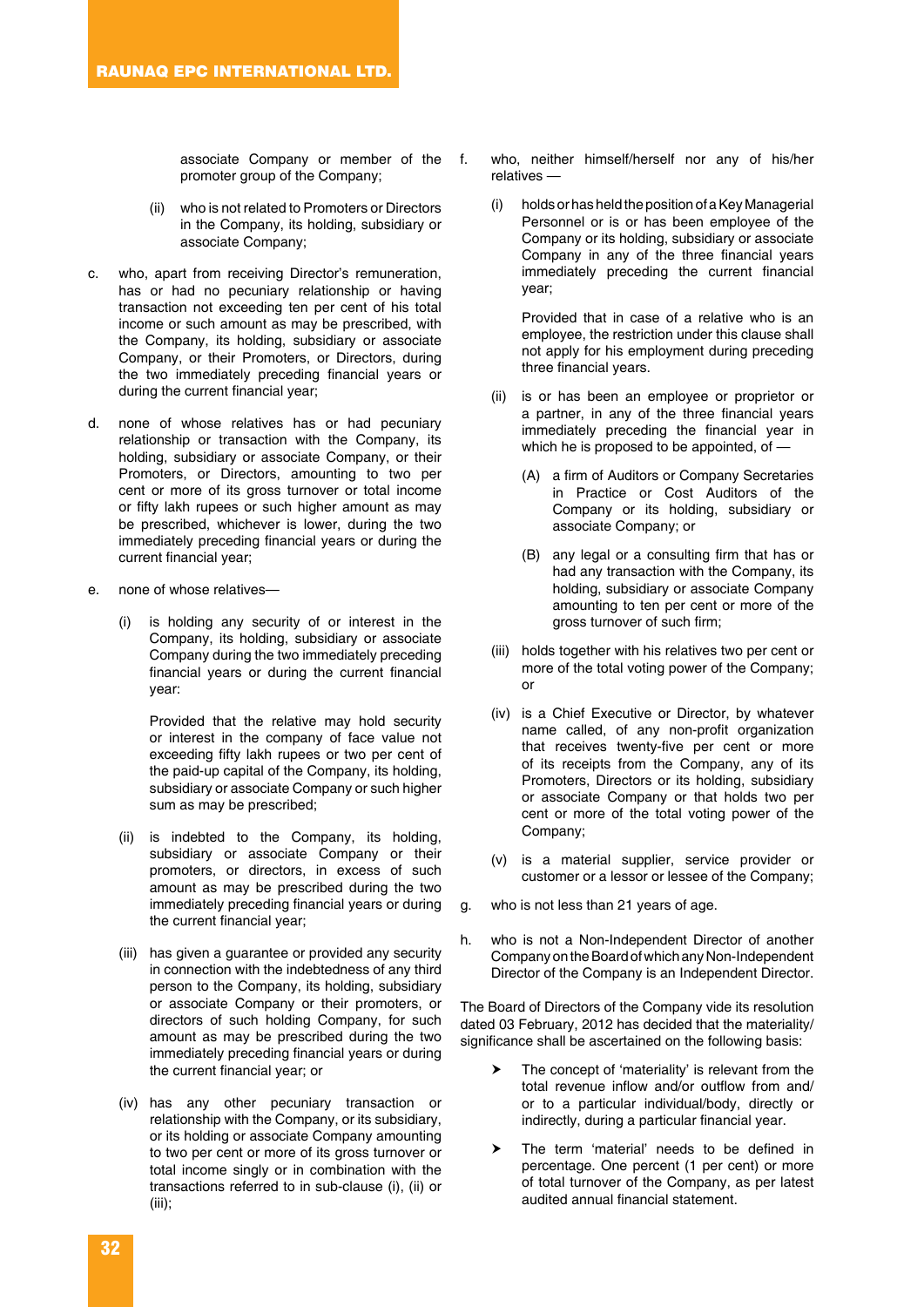associate Company or member of the promoter group of the Company;

- (ii) who is not related to Promoters or Directors in the Company, its holding, subsidiary or associate Company;
- c. who, apart from receiving Director's remuneration, has or had no pecuniary relationship or having transaction not exceeding ten per cent of his total income or such amount as may be prescribed, with the Company, its holding, subsidiary or associate Company, or their Promoters, or Directors, during the two immediately preceding financial years or during the current financial year;
- d. none of whose relatives has or had pecuniary relationship or transaction with the Company, its holding, subsidiary or associate Company, or their Promoters, or Directors, amounting to two per cent or more of its gross turnover or total income or fifty lakh rupees or such higher amount as may be prescribed, whichever is lower, during the two immediately preceding financial years or during the current financial year;
- e. none of whose relatives
	- is holding any security of or interest in the Company, its holding, subsidiary or associate Company during the two immediately preceding financial years or during the current financial year:

 Provided that the relative may hold security or interest in the company of face value not exceeding fifty lakh rupees or two per cent of the paid-up capital of the Company, its holding, subsidiary or associate Company or such higher sum as may be prescribed;

- (ii) is indebted to the Company, its holding, subsidiary or associate Company or their promoters, or directors, in excess of such amount as may be prescribed during the two immediately preceding financial years or during the current financial year;
- (iii) has given a guarantee or provided any security in connection with the indebtedness of any third person to the Company, its holding, subsidiary or associate Company or their promoters, or directors of such holding Company, for such amount as may be prescribed during the two immediately preceding financial years or during the current financial year; or
- (iv) has any other pecuniary transaction or relationship with the Company, or its subsidiary, or its holding or associate Company amounting to two per cent or more of its gross turnover or total income singly or in combination with the transactions referred to in sub-clause (i), (ii) or (iii);
- f. who, neither himself/herself nor any of his/her relatives —
	- (i) holds or has held the position of a Key Managerial Personnel or is or has been employee of the Company or its holding, subsidiary or associate Company in any of the three financial years immediately preceding the current financial year;

 Provided that in case of a relative who is an employee, the restriction under this clause shall not apply for his employment during preceding three financial years.

- (ii) is or has been an employee or proprietor or a partner, in any of the three financial years immediately preceding the financial year in which he is proposed to be appointed, of —
	- (A) a firm of Auditors or Company Secretaries in Practice or Cost Auditors of the Company or its holding, subsidiary or associate Company; or
	- (B) any legal or a consulting firm that has or had any transaction with the Company, its holding, subsidiary or associate Company amounting to ten per cent or more of the gross turnover of such firm;
- (iii) holds together with his relatives two per cent or more of the total voting power of the Company; or
- (iv) is a Chief Executive or Director, by whatever name called, of any non-profit organization that receives twenty-five per cent or more of its receipts from the Company, any of its Promoters, Directors or its holding, subsidiary or associate Company or that holds two per cent or more of the total voting power of the Company;
- (v) is a material supplier, service provider or customer or a lessor or lessee of the Company;
- g. who is not less than 21 years of age.
- h. who is not a Non-Independent Director of another Company on the Board of which any Non-Independent Director of the Company is an Independent Director.

The Board of Directors of the Company vide its resolution dated 03 February, 2012 has decided that the materiality/ significance shall be ascertained on the following basis:

- > The concept of 'materiality' is relevant from the total revenue inflow and/or outflow from and/ or to a particular individual/body, directly or indirectly, during a particular financial year.
- The term 'material' needs to be defined in percentage. One percent (1 per cent) or more of total turnover of the Company, as per latest audited annual financial statement.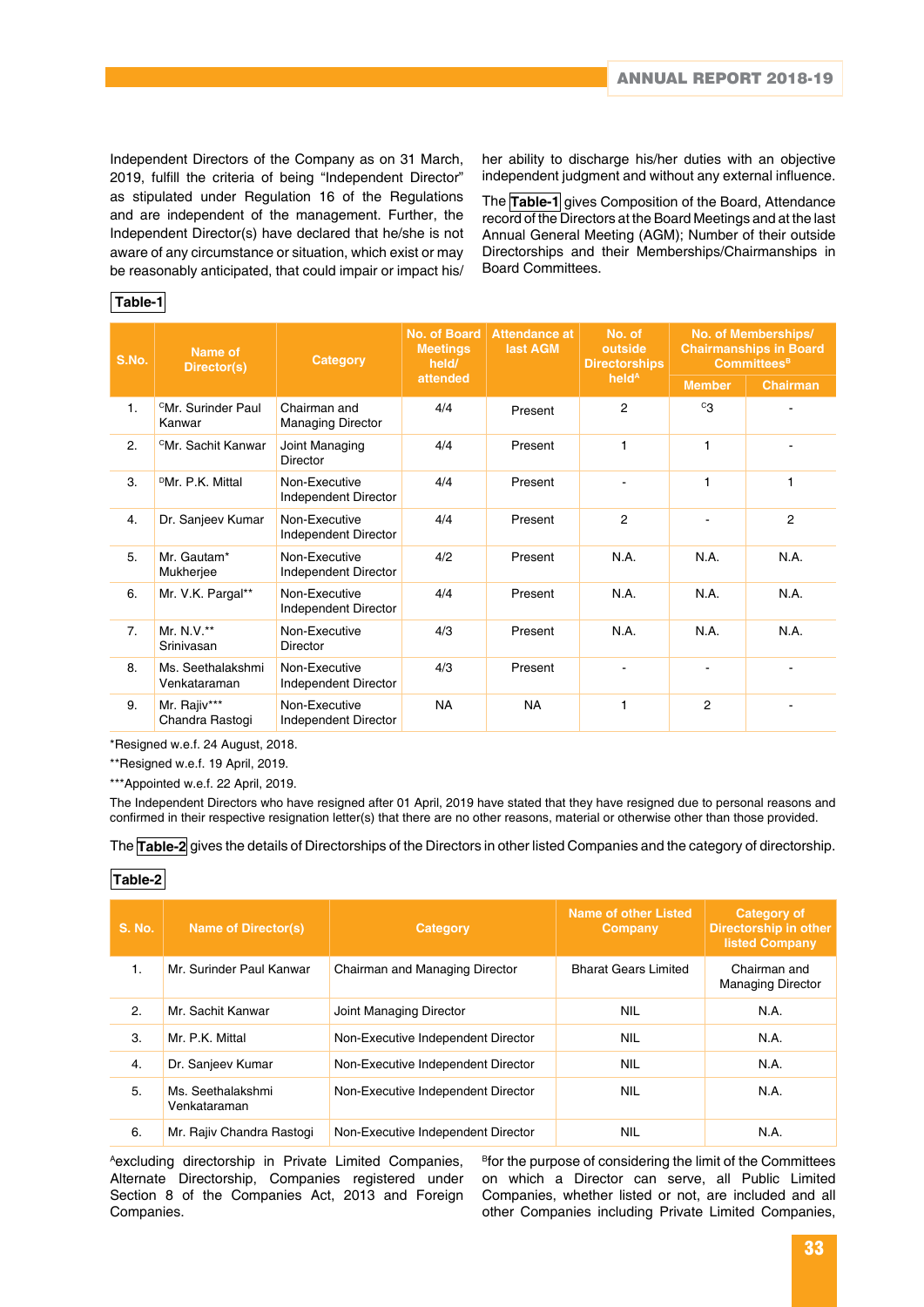Independent Directors of the Company as on 31 March, 2019, fulfill the criteria of being "Independent Director" as stipulated under Regulation 16 of the Regulations and are independent of the management. Further, the Independent Director(s) have declared that he/she is not aware of any circumstance or situation, which exist or may be reasonably anticipated, that could impair or impact his/

her ability to discharge his/her duties with an objective independent judgment and without any external influence.

The **Table-1** gives Composition of the Board, Attendance record of the Directors at the Board Meetings and at the last Annual General Meeting (AGM); Number of their outside Directorships and their Memberships/Chairmanships in Board Committees.

### **Table-1**

| S.No. | Name of<br>Director(s)                   | Category                                 | No. of Board<br><b>Meetings</b><br>held/ | <b>Attendance at</b><br>last AGM | No. of<br>outside<br><b>Directorships</b> | No. of Memberships/<br><b>Chairmanships in Board</b><br><b>Committees</b> <sup>B</sup> |                 |
|-------|------------------------------------------|------------------------------------------|------------------------------------------|----------------------------------|-------------------------------------------|----------------------------------------------------------------------------------------|-----------------|
|       |                                          |                                          | attended                                 |                                  | held <sup>A</sup>                         | <b>Member</b>                                                                          | <b>Chairman</b> |
| 1.    | <sup>C</sup> Mr. Surinder Paul<br>Kanwar | Chairman and<br><b>Managing Director</b> | 4/4                                      | Present                          | $\overline{2}$                            | $c_{3}$                                                                                |                 |
| 2.    | <sup>C</sup> Mr. Sachit Kanwar           | Joint Managing<br>Director               | 4/4                                      | Present                          | 1                                         | 1                                                                                      |                 |
| 3.    | <sup>D</sup> Mr. P.K. Mittal             | Non-Executive<br>Independent Director    | 4/4                                      | Present                          |                                           | 1                                                                                      | 1               |
| 4.    | Dr. Sanjeev Kumar                        | Non-Executive<br>Independent Director    | 4/4                                      | Present                          | $\overline{c}$                            |                                                                                        | $\overline{2}$  |
| 5.    | Mr. Gautam*<br>Mukherjee                 | Non-Executive<br>Independent Director    | 4/2                                      | Present                          | N.A.                                      | N.A.                                                                                   | N.A.            |
| 6.    | Mr. V.K. Pargal**                        | Non-Executive<br>Independent Director    | 4/4                                      | Present                          | N.A.                                      | N.A.                                                                                   | N.A.            |
| 7.    | Mr. N.V. $**$<br>Srinivasan              | Non-Executive<br>Director                | 4/3                                      | Present                          | N.A.                                      | N.A.                                                                                   | N.A.            |
| 8.    | Ms. Seethalakshmi<br>Venkataraman        | Non-Executive<br>Independent Director    | 4/3                                      | Present                          |                                           |                                                                                        |                 |
| 9.    | Mr. Rajiv***<br>Chandra Rastogi          | Non-Executive<br>Independent Director    | <b>NA</b>                                | <b>NA</b>                        | 1                                         | 2                                                                                      |                 |

\*Resigned w.e.f. 24 August, 2018.

\*\*Resigned w.e.f. 19 April, 2019.

\*\*\*Appointed w.e.f. 22 April, 2019.

The Independent Directors who have resigned after 01 April, 2019 have stated that they have resigned due to personal reasons and confirmed in their respective resignation letter(s) that there are no other reasons, material or otherwise other than those provided.

The **Table-2** gives the details of Directorships of the Directors in other listed Companies and the category of directorship.

### **Table-2**

| <b>S. No.</b>  | <b>Name of Director(s)</b>        | Category                           | Name of other Listed<br>Company | <b>Category of</b><br><b>Directorship in other</b><br><b>listed Company</b> |
|----------------|-----------------------------------|------------------------------------|---------------------------------|-----------------------------------------------------------------------------|
| $\mathbf{1}$ . | Mr. Surinder Paul Kanwar          | Chairman and Managing Director     | <b>Bharat Gears Limited</b>     | Chairman and<br><b>Managing Director</b>                                    |
| 2.             | Mr. Sachit Kanwar                 | Joint Managing Director            | <b>NIL</b>                      | N.A.                                                                        |
| 3.             | Mr. P.K. Mittal                   | Non-Executive Independent Director | <b>NIL</b>                      | N.A.                                                                        |
| 4.             | Dr. Sanjeev Kumar                 | Non-Executive Independent Director | <b>NIL</b>                      | N.A.                                                                        |
| 5.             | Ms. Seethalakshmi<br>Venkataraman | Non-Executive Independent Director | <b>NIL</b>                      | N.A.                                                                        |
| 6.             | Mr. Rajiv Chandra Rastogi         | Non-Executive Independent Director | <b>NIL</b>                      | N.A.                                                                        |

Aexcluding directorship in Private Limited Companies, Alternate Directorship, Companies registered under Section 8 of the Companies Act, 2013 and Foreign Companies.

<sup>B</sup>for the purpose of considering the limit of the Committees on which a Director can serve, all Public Limited Companies, whether listed or not, are included and all other Companies including Private Limited Companies,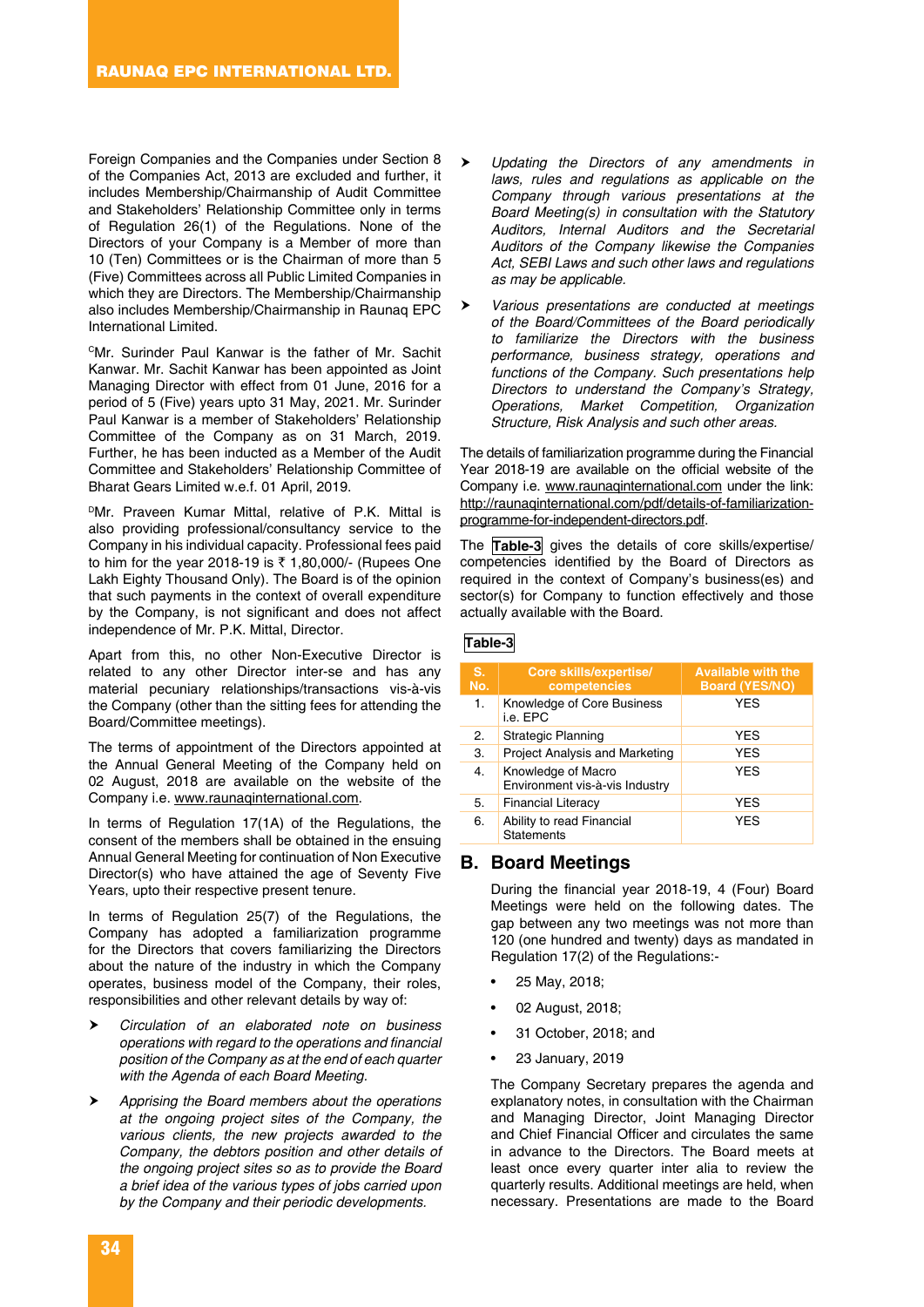Foreign Companies and the Companies under Section 8 of the Companies Act, 2013 are excluded and further, it includes Membership/Chairmanship of Audit Committee and Stakeholders' Relationship Committee only in terms of Regulation 26(1) of the Regulations. None of the Directors of your Company is a Member of more than 10 (Ten) Committees or is the Chairman of more than 5 (Five) Committees across all Public Limited Companies in which they are Directors. The Membership/Chairmanship also includes Membership/Chairmanship in Raunaq EPC International Limited.

CMr. Surinder Paul Kanwar is the father of Mr. Sachit Kanwar. Mr. Sachit Kanwar has been appointed as Joint Managing Director with effect from 01 June, 2016 for a period of 5 (Five) years upto 31 May, 2021. Mr. Surinder Paul Kanwar is a member of Stakeholders' Relationship Committee of the Company as on 31 March, 2019. Further, he has been inducted as a Member of the Audit Committee and Stakeholders' Relationship Committee of Bharat Gears Limited w.e.f. 01 April, 2019.

PMr. Praveen Kumar Mittal, relative of P.K. Mittal is also providing professional/consultancy service to the Company in his individual capacity. Professional fees paid to him for the year 2018-19 is ₹ 1,80,000/- (Rupees One Lakh Eighty Thousand Only). The Board is of the opinion that such payments in the context of overall expenditure by the Company, is not significant and does not affect independence of Mr. P.K. Mittal, Director.

Apart from this, no other Non-Executive Director is related to any other Director inter-se and has any material pecuniary relationships/transactions vis-à-vis the Company (other than the sitting fees for attending the Board/Committee meetings).

The terms of appointment of the Directors appointed at the Annual General Meeting of the Company held on 02 August, 2018 are available on the website of the Company i.e. www.raunaqinternational.com.

In terms of Regulation 17(1A) of the Regulations, the consent of the members shall be obtained in the ensuing Annual General Meeting for continuation of Non Executive Director(s) who have attained the age of Seventy Five Years, upto their respective present tenure.

In terms of Regulation 25(7) of the Regulations, the Company has adopted a familiarization programme for the Directors that covers familiarizing the Directors about the nature of the industry in which the Company operates, business model of the Company, their roles, responsibilities and other relevant details by way of:

- *Circulation of an elaborated note on business operations with regard to the operations and financial position of the Company as at the end of each quarter with the Agenda of each Board Meeting.*
- *Apprising the Board members about the operations at the ongoing project sites of the Company, the various clients, the new projects awarded to the Company, the debtors position and other details of the ongoing project sites so as to provide the Board a brief idea of the various types of jobs carried upon by the Company and their periodic developments.*
- *Updating the Directors of any amendments in laws, rules and regulations as applicable on the Company through various presentations at the Board Meeting(s) in consultation with the Statutory Auditors, Internal Auditors and the Secretarial Auditors of the Company likewise the Companies Act, SEBI Laws and such other laws and regulations as may be applicable.*
- *Various presentations are conducted at meetings of the Board/Committees of the Board periodically to familiarize the Directors with the business performance, business strategy, operations and functions of the Company. Such presentations help Directors to understand the Company's Strategy, Operations, Market Competition, Organization Structure, Risk Analysis and such other areas.*

The details of familiarization programme during the Financial Year 2018-19 are available on the official website of the Company i.e. www.raunaqinternational.com under the link: http://raunaqinternational.com/pdf/details-of-familiarizationprogramme-for-independent-directors.pdf.

The **Table-3** gives the details of core skills/expertise/ competencies identified by the Board of Directors as required in the context of Company's business(es) and sector(s) for Company to function effectively and those actually available with the Board.

#### **Table-3**

| S.<br>No. | Core skills/expertise/<br>competencies               | <b>Available with the</b><br><b>Board (YES/NO)</b> |
|-----------|------------------------------------------------------|----------------------------------------------------|
| 1.        | Knowledge of Core Business<br>i.e. EPC               | <b>YES</b>                                         |
| 2.        | Strategic Planning                                   | <b>YES</b>                                         |
| 3.        | <b>Project Analysis and Marketing</b>                | <b>YES</b>                                         |
| 4.        | Knowledge of Macro<br>Environment vis-à-vis Industry | <b>YES</b>                                         |
| 5.        | <b>Financial Literacy</b>                            | <b>YES</b>                                         |
| 6.        | Ability to read Financial<br><b>Statements</b>       | <b>YES</b>                                         |

### **B. Board Meetings**

During the financial year 2018-19, 4 (Four) Board Meetings were held on the following dates. The gap between any two meetings was not more than 120 (one hundred and twenty) days as mandated in Regulation 17(2) of the Regulations:-

- 25 May, 2018;
- 02 August, 2018;
- 31 October, 2018; and
- 23 January, 2019

The Company Secretary prepares the agenda and explanatory notes, in consultation with the Chairman and Managing Director, Joint Managing Director and Chief Financial Officer and circulates the same in advance to the Directors. The Board meets at least once every quarter inter alia to review the quarterly results. Additional meetings are held, when necessary. Presentations are made to the Board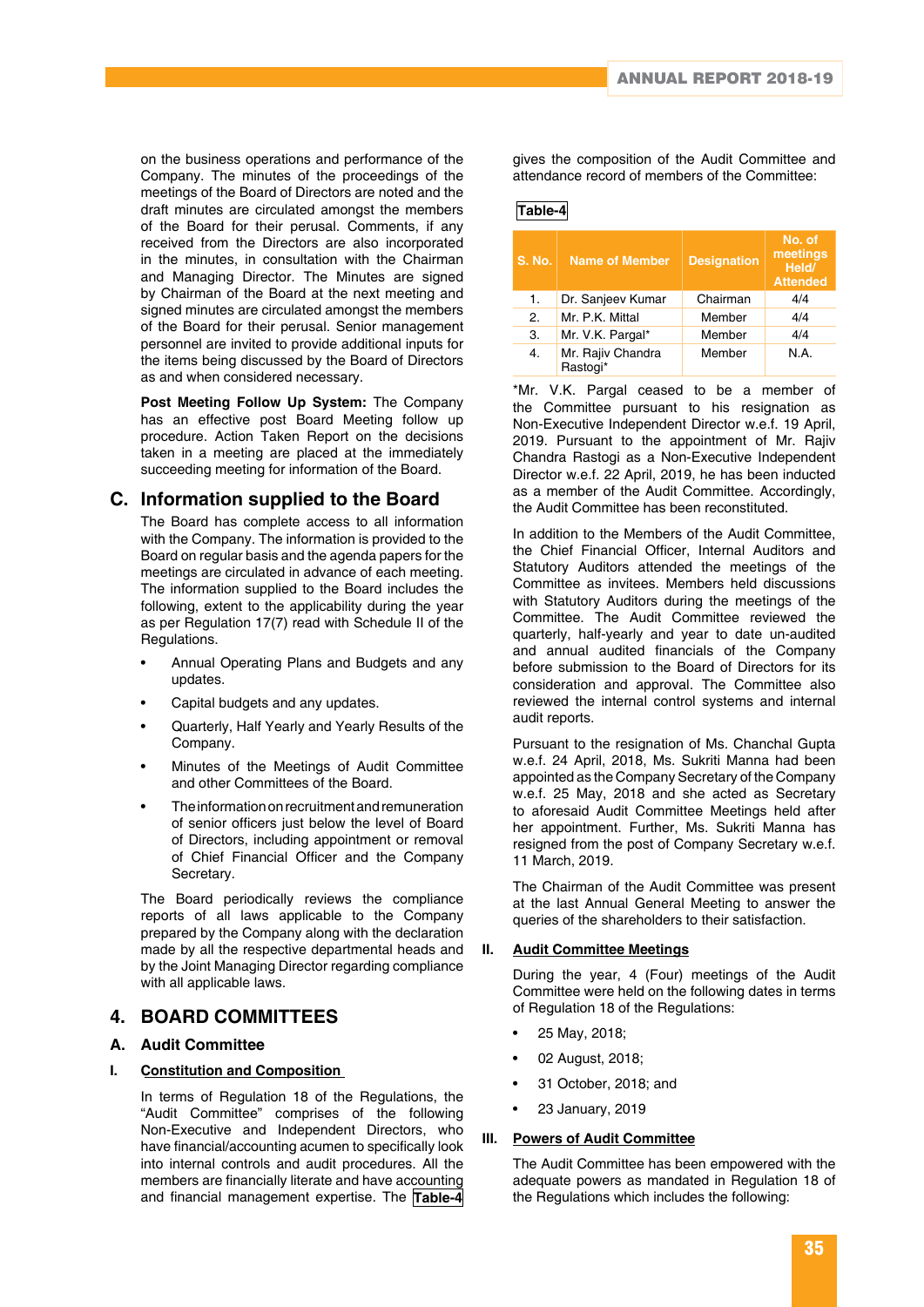on the business operations and performance of the Company. The minutes of the proceedings of the meetings of the Board of Directors are noted and the draft minutes are circulated amongst the members of the Board for their perusal. Comments, if any received from the Directors are also incorporated in the minutes, in consultation with the Chairman and Managing Director. The Minutes are signed by Chairman of the Board at the next meeting and signed minutes are circulated amongst the members of the Board for their perusal. Senior management personnel are invited to provide additional inputs for the items being discussed by the Board of Directors as and when considered necessary.

**Post Meeting Follow Up System:** The Company has an effective post Board Meeting follow up procedure. Action Taken Report on the decisions taken in a meeting are placed at the immediately succeeding meeting for information of the Board.

### **C. Information supplied to the Board**

The Board has complete access to all information with the Company. The information is provided to the Board on regular basis and the agenda papers for the meetings are circulated in advance of each meeting. The information supplied to the Board includes the following, extent to the applicability during the year as per Regulation 17(7) read with Schedule II of the Regulations.

- Annual Operating Plans and Budgets and any updates.
- Capital budgets and any updates.
- Quarterly, Half Yearly and Yearly Results of the Company.
- Minutes of the Meetings of Audit Committee and other Committees of the Board.
- The information on recruitment and remuneration of senior officers just below the level of Board of Directors, including appointment or removal of Chief Financial Officer and the Company Secretary.

The Board periodically reviews the compliance reports of all laws applicable to the Company prepared by the Company along with the declaration made by all the respective departmental heads and by the Joint Managing Director regarding compliance with all applicable laws.

### **4. BOARD COMMITTEES**

### **A. Audit Committee**

#### **I. Constitution and Composition**

In terms of Regulation 18 of the Regulations, the "Audit Committee" comprises of the following Non-Executive and Independent Directors, who have financial/accounting acumen to specifically look into internal controls and audit procedures. All the members are financially literate and have accounting and financial management expertise. The **Table-4** gives the composition of the Audit Committee and attendance record of members of the Committee:

#### **Table-4**

| 'S. No. | <b>Name of Member</b>         | <b>Designation</b> | No. of<br>meetings<br>Held/<br><b>Attended</b> |
|---------|-------------------------------|--------------------|------------------------------------------------|
| 1.      | Dr. Sanjeev Kumar             | Chairman           | 4/4                                            |
| 2.      | Mr. P.K. Mittal               | Member             | 4/4                                            |
| З.      | Mr. V.K. Pargal*              | Member             | 4/4                                            |
| 4.      | Mr. Rajiv Chandra<br>Rastogi* | Member             | N.A.                                           |

\*Mr. V.K. Pargal ceased to be a member of the Committee pursuant to his resignation as Non-Executive Independent Director w.e.f. 19 April, 2019. Pursuant to the appointment of Mr. Rajiv Chandra Rastogi as a Non-Executive Independent Director w.e.f. 22 April, 2019, he has been inducted as a member of the Audit Committee. Accordingly, the Audit Committee has been reconstituted.

In addition to the Members of the Audit Committee, the Chief Financial Officer, Internal Auditors and Statutory Auditors attended the meetings of the Committee as invitees. Members held discussions with Statutory Auditors during the meetings of the Committee. The Audit Committee reviewed the quarterly, half-yearly and year to date un-audited and annual audited financials of the Company before submission to the Board of Directors for its consideration and approval. The Committee also reviewed the internal control systems and internal audit reports.

Pursuant to the resignation of Ms. Chanchal Gupta w.e.f. 24 April, 2018, Ms. Sukriti Manna had been appointed as the Company Secretary of the Company w.e.f. 25 May, 2018 and she acted as Secretary to aforesaid Audit Committee Meetings held after her appointment. Further, Ms. Sukriti Manna has resigned from the post of Company Secretary w.e.f. 11 March, 2019.

The Chairman of the Audit Committee was present at the last Annual General Meeting to answer the queries of the shareholders to their satisfaction.

#### **II. Audit Committee Meetings**

During the year, 4 (Four) meetings of the Audit Committee were held on the following dates in terms of Regulation 18 of the Regulations:

- 25 May, 2018;
- 02 August, 2018;
- 31 October, 2018; and
- 23 January, 2019

#### **III. Powers of Audit Committee**

The Audit Committee has been empowered with the adequate powers as mandated in Regulation 18 of the Regulations which includes the following: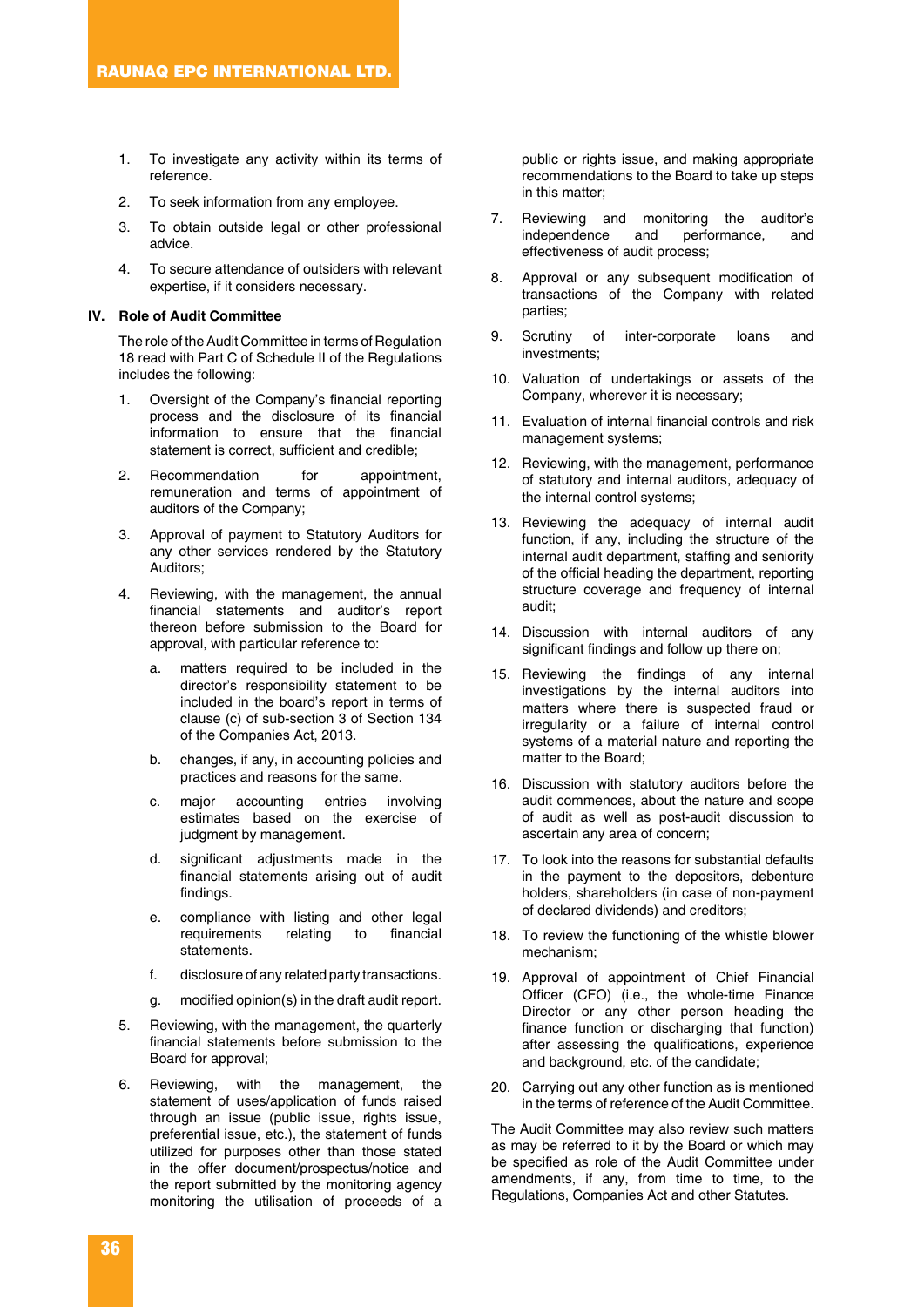- 1. To investigate any activity within its terms of reference.
- 2. To seek information from any employee.
- 3. To obtain outside legal or other professional advice.
- 4. To secure attendance of outsiders with relevant expertise, if it considers necessary.

#### **IV. Role of Audit Committee**

The role of the Audit Committee in terms of Regulation 18 read with Part C of Schedule II of the Regulations includes the following:

- Oversight of the Company's financial reporting process and the disclosure of its financial information to ensure that the financial statement is correct, sufficient and credible;
- 2. Recommendation for appointment, remuneration and terms of appointment of auditors of the Company;
- 3. Approval of payment to Statutory Auditors for any other services rendered by the Statutory Auditors;
- 4. Reviewing, with the management, the annual financial statements and auditor's report thereon before submission to the Board for approval, with particular reference to:
	- a. matters required to be included in the director's responsibility statement to be included in the board's report in terms of clause (c) of sub-section 3 of Section 134 of the Companies Act, 2013.
	- b. changes, if any, in accounting policies and practices and reasons for the same.
	- c. major accounting entries involving estimates based on the exercise of judgment by management.
	- d. significant adjustments made in the financial statements arising out of audit findings.
	- e. compliance with listing and other legal requirements relating to financial statements.
	- f. disclosure of any related party transactions.
	- g. modified opinion(s) in the draft audit report.
- 5. Reviewing, with the management, the quarterly financial statements before submission to the Board for approval;
- 6. Reviewing, with the management, the statement of uses/application of funds raised through an issue (public issue, rights issue, preferential issue, etc.), the statement of funds utilized for purposes other than those stated in the offer document/prospectus/notice and the report submitted by the monitoring agency monitoring the utilisation of proceeds of a

public or rights issue, and making appropriate recommendations to the Board to take up steps in this matter;

- 7. Reviewing and monitoring the auditor's independence and performance, and effectiveness of audit process;
- 8. Approval or any subsequent modification of transactions of the Company with related parties;
- 9. Scrutiny of inter-corporate loans and investments;
- 10. Valuation of undertakings or assets of the Company, wherever it is necessary;
- 11. Evaluation of internal financial controls and risk management systems;
- 12. Reviewing, with the management, performance of statutory and internal auditors, adequacy of the internal control systems;
- 13. Reviewing the adequacy of internal audit function, if any, including the structure of the internal audit department, staffing and seniority of the official heading the department, reporting structure coverage and frequency of internal audit;
- 14. Discussion with internal auditors of any significant findings and follow up there on;
- 15. Reviewing the findings of any internal investigations by the internal auditors into matters where there is suspected fraud or irregularity or a failure of internal control systems of a material nature and reporting the matter to the Board;
- 16. Discussion with statutory auditors before the audit commences, about the nature and scope of audit as well as post-audit discussion to ascertain any area of concern;
- 17. To look into the reasons for substantial defaults in the payment to the depositors, debenture holders, shareholders (in case of non-payment of declared dividends) and creditors;
- 18. To review the functioning of the whistle blower mechanism;
- 19. Approval of appointment of Chief Financial Officer (CFO) (i.e., the whole-time Finance Director or any other person heading the finance function or discharging that function) after assessing the qualifications, experience and background, etc. of the candidate;
- 20. Carrying out any other function as is mentioned in the terms of reference of the Audit Committee.

The Audit Committee may also review such matters as may be referred to it by the Board or which may be specified as role of the Audit Committee under amendments, if any, from time to time, to the Regulations, Companies Act and other Statutes.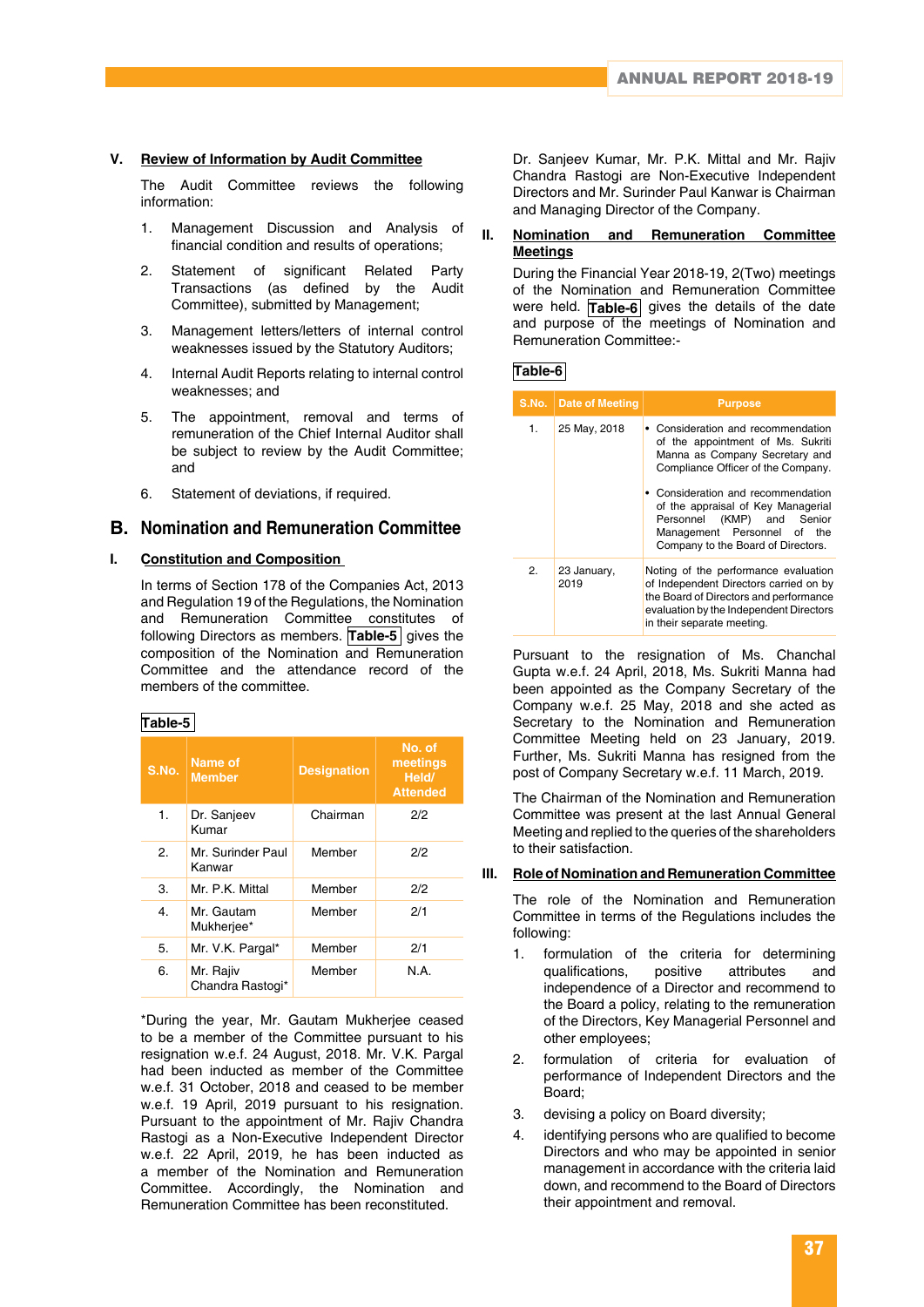#### **V. Review of Information by Audit Committee**

The Audit Committee reviews the following information:

- 1. Management Discussion and Analysis of financial condition and results of operations;
- 2. Statement of significant Related Party Transactions (as defined by the Audit Committee), submitted by Management;
- 3. Management letters/letters of internal control weaknesses issued by the Statutory Auditors;
- 4. Internal Audit Reports relating to internal control weaknesses; and
- 5. The appointment, removal and terms of remuneration of the Chief Internal Auditor shall be subject to review by the Audit Committee; and
- 6. Statement of deviations, if required.

### **B. Nomination and Remuneration Committee**

#### **I. Constitution and Composition**

In terms of Section 178 of the Companies Act, 2013 and Regulation 19 of the Regulations, the Nomination and Remuneration Committee constitutes of following Directors as members. **Table-5** gives the composition of the Nomination and Remuneration Committee and the attendance record of the members of the committee.

|--|

| S.No. | Name of<br><b>Member</b>      | <b>Designation</b> | No. of<br>meetings<br>Held/<br><b>Attended</b> |
|-------|-------------------------------|--------------------|------------------------------------------------|
| 1.    | Dr. Sanjeev<br>Kumar          | Chairman           | 2/2                                            |
| 2.    | Mr. Surinder Paul<br>Kanwar   | Member             | 2/2                                            |
| З.    | Mr. P.K. Mittal               | Member             | 2/2                                            |
| 4.    | Mr. Gautam<br>Mukherjee*      | Member             | 2/1                                            |
| 5.    | Mr. V.K. Pargal*              | Member             | 2/1                                            |
| 6.    | Mr. Rajiv<br>Chandra Rastogi* | Member             | N.A.                                           |

\*During the year, Mr. Gautam Mukherjee ceased to be a member of the Committee pursuant to his resignation w.e.f. 24 August, 2018. Mr. V.K. Pargal had been inducted as member of the Committee w.e.f. 31 October, 2018 and ceased to be member w.e.f. 19 April, 2019 pursuant to his resignation. Pursuant to the appointment of Mr. Rajiv Chandra Rastogi as a Non-Executive Independent Director w.e.f. 22 April, 2019, he has been inducted as a member of the Nomination and Remuneration Committee. Accordingly, the Nomination and Remuneration Committee has been reconstituted.

Dr. Sanjeev Kumar, Mr. P.K. Mittal and Mr. Rajiv Chandra Rastogi are Non-Executive Independent Directors and Mr. Surinder Paul Kanwar is Chairman and Managing Director of the Company.

#### **II. Nomination and Remuneration Committee Meetings**

During the Financial Year 2018-19, 2(Two) meetings of the Nomination and Remuneration Committee were held. **Table-6** gives the details of the date and purpose of the meetings of Nomination and Remuneration Committee:-

**Table-6**

|    | S.No.   Date of Meeting | <b>Purpose</b>                                                                                                                                                                                                                                                                                                                 |
|----|-------------------------|--------------------------------------------------------------------------------------------------------------------------------------------------------------------------------------------------------------------------------------------------------------------------------------------------------------------------------|
| 1. | 25 May, 2018            | • Consideration and recommendation<br>of the appointment of Ms. Sukriti<br>Manna as Company Secretary and<br>Compliance Officer of the Company.<br>• Consideration and recommendation<br>of the appraisal of Key Managerial<br>Personnel (KMP) and Senior<br>Management Personnel of the<br>Company to the Board of Directors. |
| 2. | 23 January,<br>2019     | Noting of the performance evaluation<br>of Independent Directors carried on by<br>the Board of Directors and performance<br>evaluation by the Independent Directors<br>in their separate meeting.                                                                                                                              |

Pursuant to the resignation of Ms. Chanchal Gupta w.e.f. 24 April, 2018, Ms. Sukriti Manna had been appointed as the Company Secretary of the Company w.e.f. 25 May, 2018 and she acted as Secretary to the Nomination and Remuneration Committee Meeting held on 23 January, 2019. Further, Ms. Sukriti Manna has resigned from the post of Company Secretary w.e.f. 11 March, 2019.

The Chairman of the Nomination and Remuneration Committee was present at the last Annual General Meeting and replied to the queries of the shareholders to their satisfaction.

#### **III. Role of Nomination and Remuneration Committee**

The role of the Nomination and Remuneration Committee in terms of the Regulations includes the following:

- 1. formulation of the criteria for determining qualifications, positive attributes and independence of a Director and recommend to the Board a policy, relating to the remuneration of the Directors, Key Managerial Personnel and other employees;
- 2. formulation of criteria for evaluation of performance of Independent Directors and the Board;
- 3. devising a policy on Board diversity;
- 4. identifying persons who are qualified to become Directors and who may be appointed in senior management in accordance with the criteria laid down, and recommend to the Board of Directors their appointment and removal.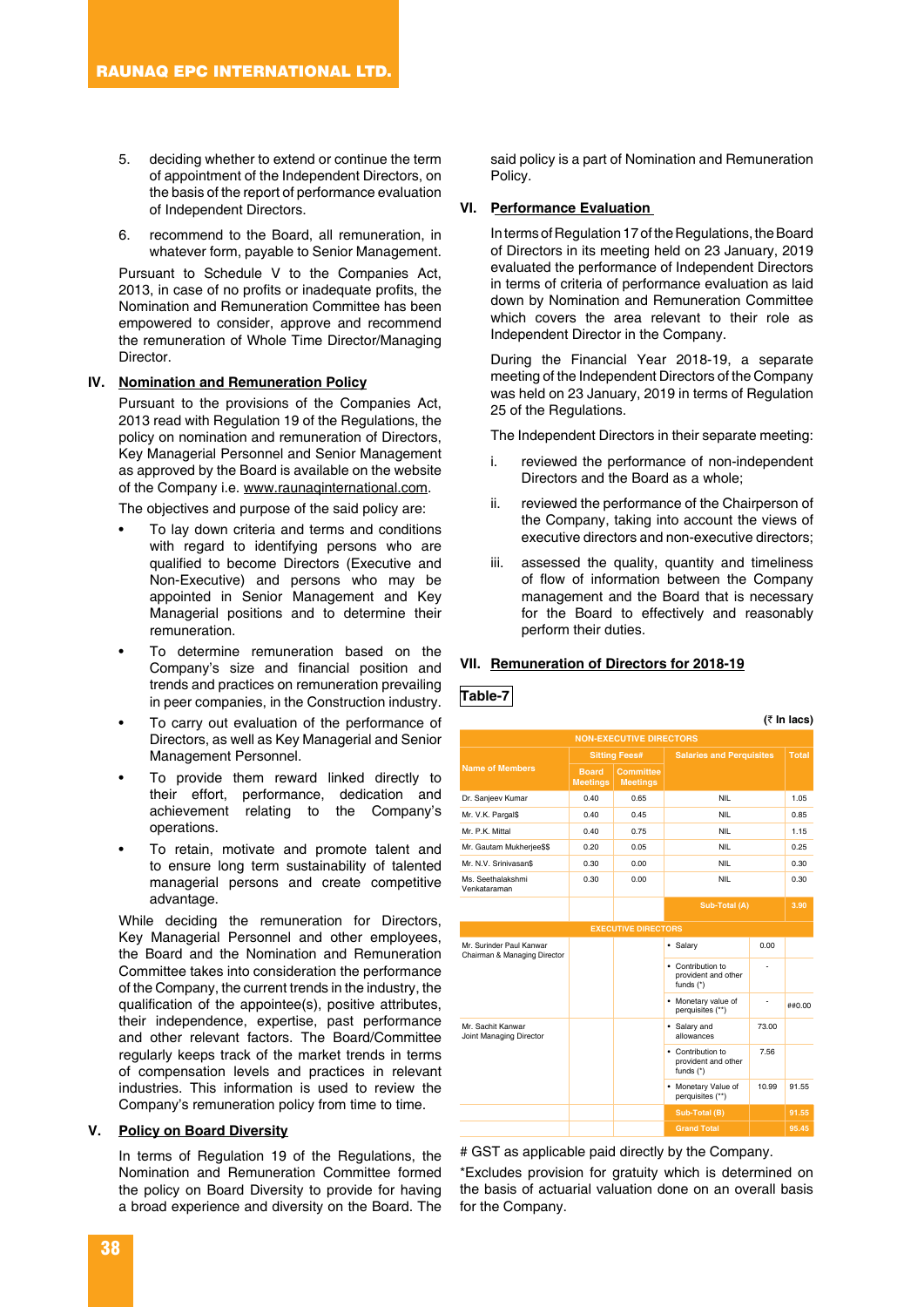- 5. deciding whether to extend or continue the term of appointment of the Independent Directors, on the basis of the report of performance evaluation of Independent Directors.
- 6. recommend to the Board, all remuneration, in whatever form, payable to Senior Management.

Pursuant to Schedule V to the Companies Act, 2013, in case of no profits or inadequate profits, the Nomination and Remuneration Committee has been empowered to consider, approve and recommend the remuneration of Whole Time Director/Managing Director.

#### **IV. Nomination and Remuneration Policy**

Pursuant to the provisions of the Companies Act, 2013 read with Regulation 19 of the Regulations, the policy on nomination and remuneration of Directors, Key Managerial Personnel and Senior Management as approved by the Board is available on the website of the Company i.e. www.raunaqinternational.com.

The objectives and purpose of the said policy are:

- To lay down criteria and terms and conditions with regard to identifying persons who are qualified to become Directors (Executive and Non-Executive) and persons who may be appointed in Senior Management and Key Managerial positions and to determine their remuneration.
- To determine remuneration based on the Company's size and financial position and trends and practices on remuneration prevailing in peer companies, in the Construction industry.
- To carry out evaluation of the performance of Directors, as well as Key Managerial and Senior Management Personnel.
- To provide them reward linked directly to their effort, performance, dedication and achievement relating to the Company's operations.
- To retain, motivate and promote talent and to ensure long term sustainability of talented managerial persons and create competitive advantage.

While deciding the remuneration for Directors, Key Managerial Personnel and other employees, the Board and the Nomination and Remuneration Committee takes into consideration the performance of the Company, the current trends in the industry, the qualification of the appointee(s), positive attributes, their independence, expertise, past performance and other relevant factors. The Board/Committee regularly keeps track of the market trends in terms of compensation levels and practices in relevant industries. This information is used to review the Company's remuneration policy from time to time.

#### **V. Policy on Board Diversity**

In terms of Regulation 19 of the Regulations, the Nomination and Remuneration Committee formed the policy on Board Diversity to provide for having a broad experience and diversity on the Board. The said policy is a part of Nomination and Remuneration Policy.

#### **VI. Performance Evaluation**

In terms of Regulation 17 of the Regulations, the Board of Directors in its meeting held on 23 January, 2019 evaluated the performance of Independent Directors in terms of criteria of performance evaluation as laid down by Nomination and Remuneration Committee which covers the area relevant to their role as Independent Director in the Company.

During the Financial Year 2018-19, a separate meeting of the Independent Directors of the Company was held on 23 January, 2019 in terms of Regulation 25 of the Regulations.

The Independent Directors in their separate meeting:

- i. reviewed the performance of non-independent Directors and the Board as a whole;
- ii. reviewed the performance of the Chairperson of the Company, taking into account the views of executive directors and non-executive directors;
- iii. assessed the quality, quantity and timeliness of flow of information between the Company management and the Board that is necessary for the Board to effectively and reasonably perform their duties.

**(**` **In lacs)**

#### **VII. Remuneration of Directors for 2018-19**

#### **Table-7**

| (K III lacs)                                             |                                 |                                     |                                                         |       |              |
|----------------------------------------------------------|---------------------------------|-------------------------------------|---------------------------------------------------------|-------|--------------|
| <b>NON-EXECUTIVE DIRECTORS</b>                           |                                 |                                     |                                                         |       |              |
|                                                          | <b>Sitting Fees#</b>            |                                     | <b>Salaries and Perquisites</b>                         |       | <b>Total</b> |
| <b>Name of Members</b>                                   | <b>Board</b><br><b>Meetings</b> | <b>Committee</b><br><b>Meetings</b> |                                                         |       |              |
| Dr. Sanjeev Kumar                                        | 0.40                            | 0.65                                | <b>NIL</b>                                              |       | 1.05         |
| Mr. V.K. Pargal\$                                        | 0.40                            | 0.45                                | NII                                                     |       | 0.85         |
| Mr. P.K. Mittal                                          | 0.40                            | 0.75                                | <b>NIL</b>                                              |       | 1.15         |
| Mr. Gautam Mukherjee\$\$                                 | 0.20                            | 0.05                                | <b>NIL</b>                                              |       | 0.25         |
| Mr. N.V. Srinivasan\$                                    | 0.30                            | 0.00                                | NII                                                     |       | 0.30         |
| Ms. Seethalakshmi<br>Venkataraman                        | 0.30                            | 0.00                                | <b>NIL</b>                                              |       | 0.30         |
|                                                          |                                 |                                     | Sub-Total (A)                                           |       | 3.90         |
|                                                          |                                 | <b>EXECUTIVE DIRECTORS</b>          |                                                         |       |              |
| Mr. Surinder Paul Kanwar<br>Chairman & Managing Director |                                 |                                     | · Salary                                                | 0.00  |              |
|                                                          |                                 |                                     | • Contribution to<br>provident and other<br>funds $(*)$ |       |              |
|                                                          |                                 |                                     | • Monetary value of<br>perquisites (**)                 | ٠     | ##0.00       |
| Mr. Sachit Kanwar<br>Joint Managing Director             |                                 |                                     | • Salary and<br>allowances                              | 73.00 |              |
|                                                          |                                 |                                     | • Contribution to<br>provident and other<br>funds $(*)$ | 7.56  |              |
|                                                          |                                 |                                     | • Monetary Value of<br>perquisites (**)                 | 10.99 | 91.55        |
|                                                          |                                 |                                     | Sub-Total (B)                                           |       | 91.55        |
|                                                          |                                 |                                     | <b>Grand Total</b>                                      |       | 95.45        |

# GST as applicable paid directly by the Company.

\*Excludes provision for gratuity which is determined on the basis of actuarial valuation done on an overall basis for the Company.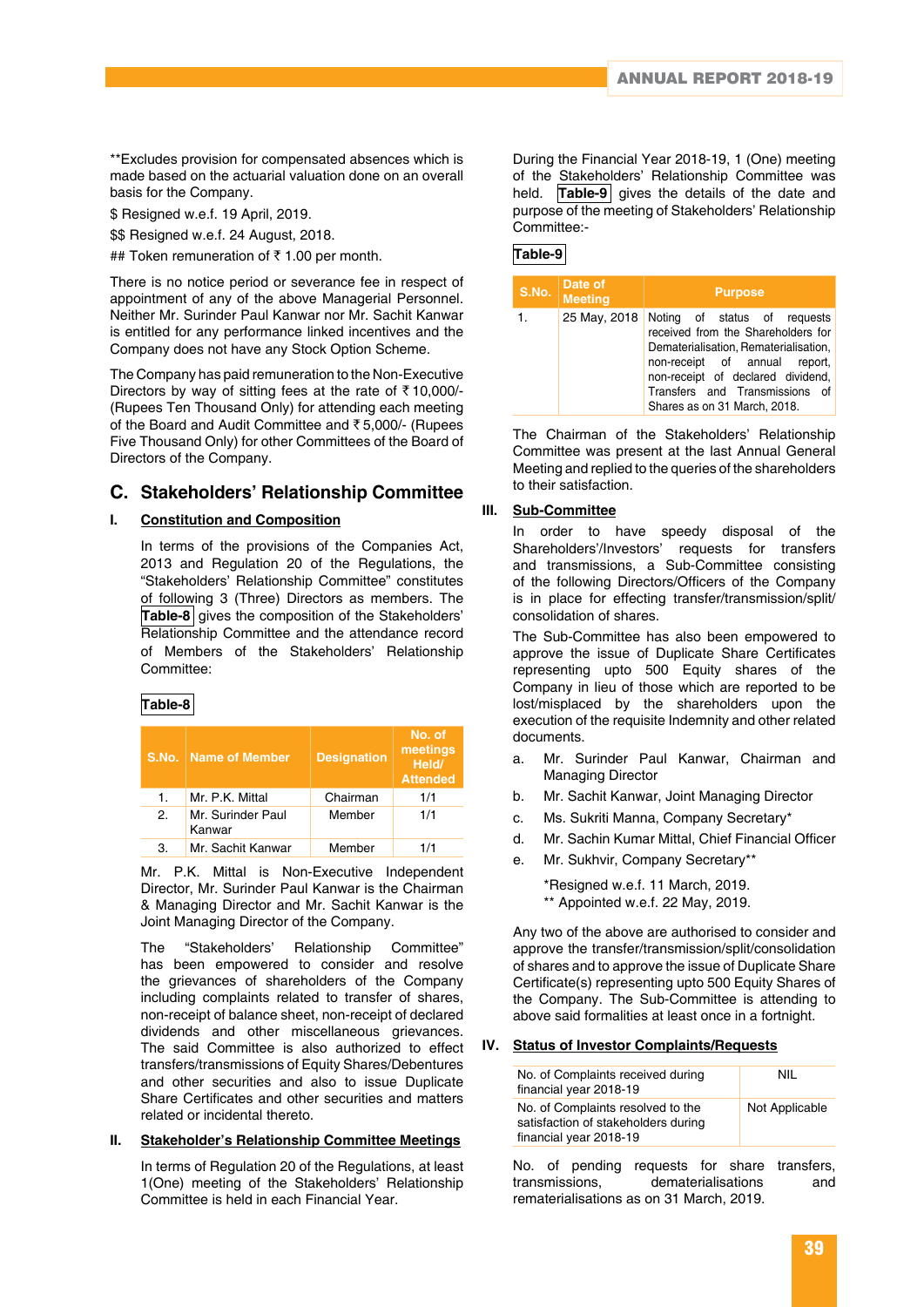\*\*Excludes provision for compensated absences which is made based on the actuarial valuation done on an overall basis for the Company.

\$ Resigned w.e.f. 19 April, 2019.

\$\$ Resigned w.e.f. 24 August, 2018.

## Token remuneration of  $\bar{\tau}$  1.00 per month.

There is no notice period or severance fee in respect of appointment of any of the above Managerial Personnel. Neither Mr. Surinder Paul Kanwar nor Mr. Sachit Kanwar is entitled for any performance linked incentives and the Company does not have any Stock Option Scheme.

The Company has paid remuneration to the Non-Executive Directors by way of sitting fees at the rate of  $\bar{\tau}$  10,000/-(Rupees Ten Thousand Only) for attending each meeting of the Board and Audit Committee and  $\bar{z}$  5,000/- (Rupees Five Thousand Only) for other Committees of the Board of Directors of the Company.

### **C. Stakeholders' Relationship Committee**

#### **I. Constitution and Composition**

In terms of the provisions of the Companies Act, 2013 and Regulation 20 of the Regulations, the "Stakeholders' Relationship Committee" constitutes of following 3 (Three) Directors as members. The Table-8<sup>|</sup> gives the composition of the Stakeholders' Relationship Committee and the attendance record of Members of the Stakeholders' Relationship Committee:

#### **Table-8**

| S.No. | <b>Name of Member</b>       | <b>Designation</b> | No. of<br>meetings<br>Held/<br><b>Attended</b> |
|-------|-----------------------------|--------------------|------------------------------------------------|
| 1.    | Mr. P.K. Mittal             | Chairman           | 1/1                                            |
| 2.    | Mr. Surinder Paul<br>Kanwar | Member             | 1/1                                            |
| 3.    | Mr. Sachit Kanwar           | Member             | 1/1                                            |

Mr. P.K. Mittal is Non-Executive Independent Director, Mr. Surinder Paul Kanwar is the Chairman & Managing Director and Mr. Sachit Kanwar is the Joint Managing Director of the Company.

The "Stakeholders' Relationship Committee" has been empowered to consider and resolve the grievances of shareholders of the Company including complaints related to transfer of shares, non-receipt of balance sheet, non-receipt of declared dividends and other miscellaneous grievances. The said Committee is also authorized to effect transfers/transmissions of Equity Shares/Debentures and other securities and also to issue Duplicate Share Certificates and other securities and matters related or incidental thereto.

#### **II. Stakeholder's Relationship Committee Meetings**

In terms of Regulation 20 of the Regulations, at least 1(One) meeting of the Stakeholders' Relationship Committee is held in each Financial Year.

During the Financial Year 2018-19, 1 (One) meeting of the Stakeholders' Relationship Committee was held. **Table-9** gives the details of the date and purpose of the meeting of Stakeholders' Relationship Committee:-

### **Table-9**

| S.No. | Date of<br><b>Meeting</b> | <b>Purpose</b>                                                                                                                                                                                                                                      |
|-------|---------------------------|-----------------------------------------------------------------------------------------------------------------------------------------------------------------------------------------------------------------------------------------------------|
| 1.    | 25 May, 2018              | Noting of status of requests<br>received from the Shareholders for<br>Dematerialisation, Rematerialisation,<br>non-receipt of annual report,<br>non-receipt of declared dividend,<br>Transfers and Transmissions of<br>Shares as on 31 March, 2018. |

The Chairman of the Stakeholders' Relationship Committee was present at the last Annual General Meeting and replied to the queries of the shareholders to their satisfaction.

#### **III. Sub-Committee**

In order to have speedy disposal of the Shareholders'/Investors' requests for transfers and transmissions, a Sub-Committee consisting of the following Directors/Officers of the Company is in place for effecting transfer/transmission/split/ consolidation of shares.

The Sub-Committee has also been empowered to approve the issue of Duplicate Share Certificates representing upto 500 Equity shares of the Company in lieu of those which are reported to be lost/misplaced by the shareholders upon the execution of the requisite Indemnity and other related documents.

- a. Mr. Surinder Paul Kanwar, Chairman and Managing Director
- b. Mr. Sachit Kanwar, Joint Managing Director
- c. Ms. Sukriti Manna, Company Secretary\*
- d. Mr. Sachin Kumar Mittal, Chief Financial Officer
- e. Mr. Sukhvir, Company Secretary\*\*

 \*Resigned w.e.f. 11 March, 2019. \*\* Appointed w.e.f. 22 May, 2019.

Any two of the above are authorised to consider and approve the transfer/transmission/split/consolidation of shares and to approve the issue of Duplicate Share Certificate(s) representing upto 500 Equity Shares of the Company. The Sub-Committee is attending to above said formalities at least once in a fortnight.

#### **IV. Status of Investor Complaints/Requests**

| No. of Complaints received during<br>financial year 2018-19                                        | NIL            |
|----------------------------------------------------------------------------------------------------|----------------|
| No. of Complaints resolved to the<br>satisfaction of stakeholders during<br>financial year 2018-19 | Not Applicable |

No. of pending requests for share transfers, transmissions, dematerialisations and rematerialisations as on 31 March, 2019.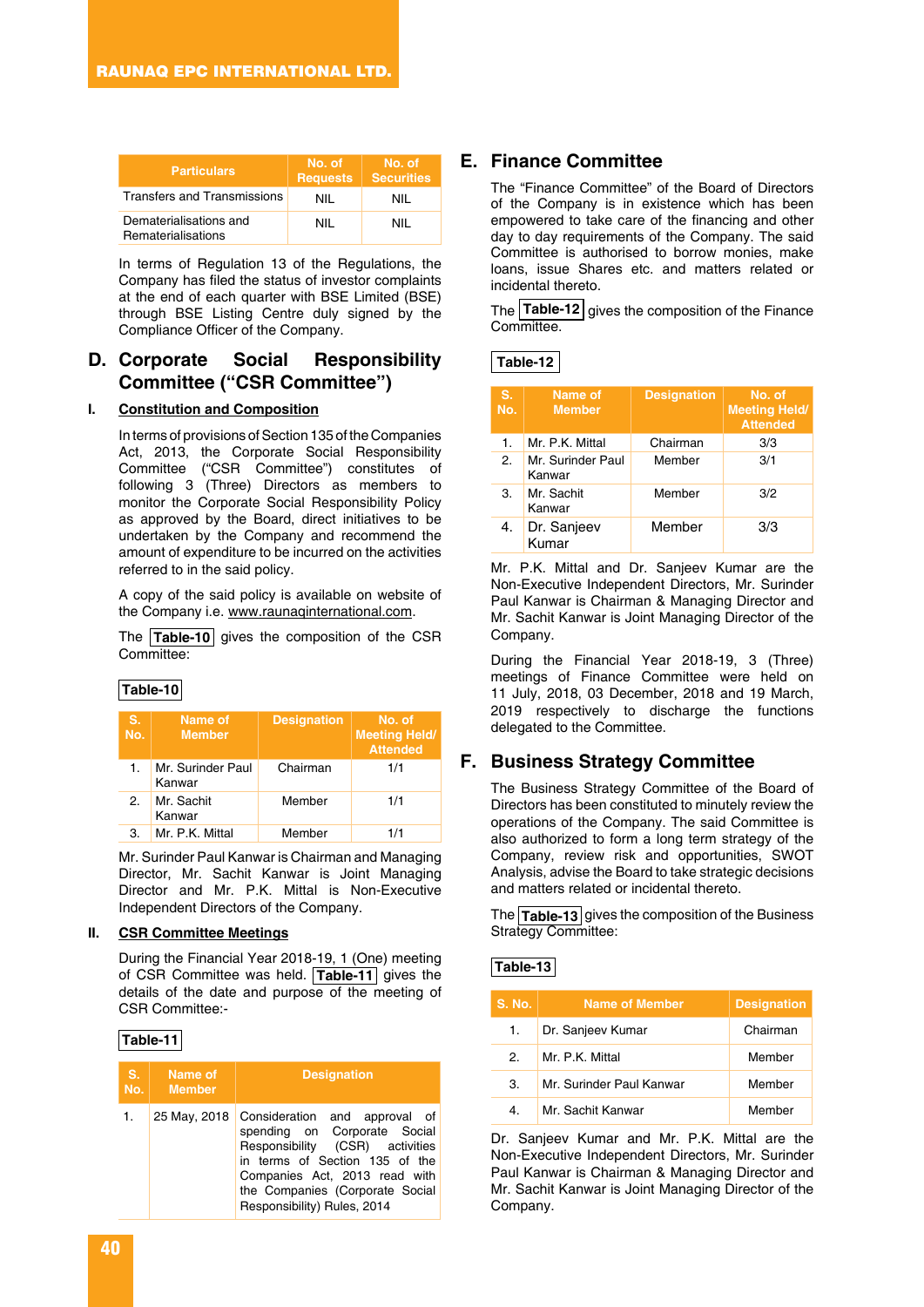| <b>Particulars</b>                           | No. of<br><b>Requests</b> | No. of<br><b>Securities</b> |
|----------------------------------------------|---------------------------|-----------------------------|
| <b>Transfers and Transmissions</b>           | NII                       | NIL                         |
| Dematerialisations and<br>Rematerialisations | NII                       | NIL                         |

In terms of Regulation 13 of the Regulations, the Company has filed the status of investor complaints at the end of each quarter with BSE Limited (BSE) through BSE Listing Centre duly signed by the Compliance Officer of the Company.

### **D. Corporate Social Responsibility Committee ("CSR Committee")**

#### **I. Constitution and Composition**

In terms of provisions of Section 135 of the Companies Act, 2013, the Corporate Social Responsibility Committee ("CSR Committee") constitutes of following 3 (Three) Directors as members to monitor the Corporate Social Responsibility Policy as approved by the Board, direct initiatives to be undertaken by the Company and recommend the amount of expenditure to be incurred on the activities referred to in the said policy.

A copy of the said policy is available on website of the Company i.e. www.raunaqinternational.com.

The **Table-10** gives the composition of the CSR Committee:

#### **Table-10**

| S.<br>No. | Name of<br><b>Member</b>    | <b>Designation</b> | No. of<br><b>Meeting Held/</b><br><b>Attended</b> |
|-----------|-----------------------------|--------------------|---------------------------------------------------|
| 1.        | Mr. Surinder Paul<br>Kanwar | Chairman           | 1/1                                               |
| 2.        | Mr. Sachit<br>Kanwar        | Member             | 1/1                                               |
| З.        | Mr. P.K. Mittal             | Member             | 1/1                                               |

Mr. Surinder Paul Kanwar is Chairman and Managing Director, Mr. Sachit Kanwar is Joint Managing Director and Mr. P.K. Mittal is Non-Executive Independent Directors of the Company.

#### **II. CSR Committee Meetings**

During the Financial Year 2018-19, 1 (One) meeting of CSR Committee was held. **Table-11** gives the details of the date and purpose of the meeting of CSR Committee:-

#### **Table-11**

| S. | Name of<br>No. Member | <b>Designation</b>                                                                                                                                                                                                                    |
|----|-----------------------|---------------------------------------------------------------------------------------------------------------------------------------------------------------------------------------------------------------------------------------|
| 1. | 25 May, 2018          | Consideration and approval of<br>spending on Corporate Social<br>Responsibility (CSR) activities<br>in terms of Section 135 of the<br>Companies Act, 2013 read with<br>the Companies (Corporate Social<br>Responsibility) Rules, 2014 |

### **E. Finance Committee**

The "Finance Committee" of the Board of Directors of the Company is in existence which has been empowered to take care of the financing and other day to day requirements of the Company. The said Committee is authorised to borrow monies, make loans, issue Shares etc. and matters related or incidental thereto.

The **Table-12** gives the composition of the Finance Committee.

| S.<br>No. | Name of<br><b>Member</b>    | <b>Designation</b> | No. of<br><b>Meeting Held/</b><br><b>Attended</b> |
|-----------|-----------------------------|--------------------|---------------------------------------------------|
| 1.        | Mr. P.K. Mittal             | Chairman           | 3/3                                               |
| 2.        | Mr. Surinder Paul<br>Kanwar | Member             | 3/1                                               |
| 3.        | Mr. Sachit<br>Kanwar        | Member             | 3/2                                               |
| 4.        | Dr. Sanjeev<br>Kumar        | Member             | 3/3                                               |

Mr. P.K. Mittal and Dr. Sanjeev Kumar are the Non-Executive Independent Directors, Mr. Surinder Paul Kanwar is Chairman & Managing Director and Mr. Sachit Kanwar is Joint Managing Director of the Company.

During the Financial Year 2018-19, 3 (Three) meetings of Finance Committee were held on 11 July, 2018, 03 December, 2018 and 19 March, 2019 respectively to discharge the functions delegated to the Committee.

### **F. Business Strategy Committee**

The Business Strategy Committee of the Board of Directors has been constituted to minutely review the operations of the Company. The said Committee is also authorized to form a long term strategy of the Company, review risk and opportunities, SWOT Analysis, advise the Board to take strategic decisions and matters related or incidental thereto.

The **Table-13** gives the composition of the Business Strategy Committee:

#### **Table-13**

| <b>S. No.</b> | <b>Name of Member</b>    | <b>Designation</b> |
|---------------|--------------------------|--------------------|
| 1.            | Dr. Sanjeev Kumar        | Chairman           |
| 2             | Mr. P.K. Mittal          | Member             |
| З.            | Mr. Surinder Paul Kanwar | Member             |
| 4.            | Mr. Sachit Kanwar        | Member             |

Dr. Sanjeev Kumar and Mr. P.K. Mittal are the Non-Executive Independent Directors, Mr. Surinder Paul Kanwar is Chairman & Managing Director and Mr. Sachit Kanwar is Joint Managing Director of the Company.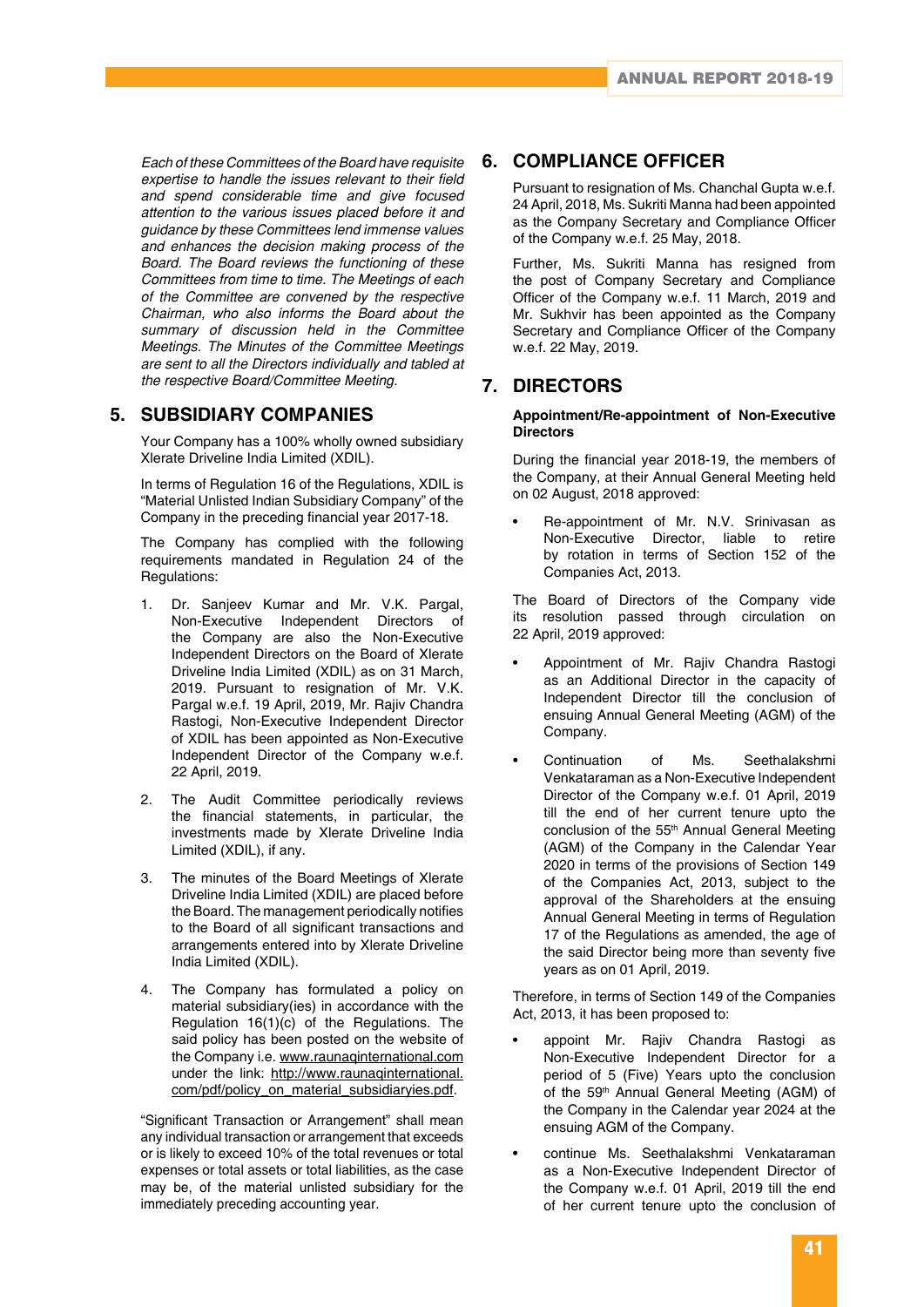*Each of these Committees of the Board have requisite expertise to handle the issues relevant to their field and spend considerable time and give focused attention to the various issues placed before it and guidance by these Committees lend immense values and enhances the decision making process of the Board. The Board reviews the functioning of these Committees from time to time. The Meetings of each of the Committee are convened by the respective Chairman, who also informs the Board about the summary of discussion held in the Committee Meetings. The Minutes of the Committee Meetings are sent to all the Directors individually and tabled at the respective Board/Committee Meeting.*

### **5. SUBSIDIARY COMPANIES**

Your Company has a 100% wholly owned subsidiary Xlerate Driveline India Limited (XDIL).

In terms of Regulation 16 of the Regulations, XDIL is "Material Unlisted Indian Subsidiary Company" of the Company in the preceding financial year 2017-18.

The Company has complied with the following requirements mandated in Regulation 24 of the Regulations:

- 1. Dr. Sanjeev Kumar and Mr. V.K. Pargal, Non-Executive Independent Directors of the Company are also the Non-Executive Independent Directors on the Board of Xlerate Driveline India Limited (XDIL) as on 31 March, 2019. Pursuant to resignation of Mr. V.K. Pargal w.e.f. 19 April, 2019, Mr. Rajiv Chandra Rastogi, Non-Executive Independent Director of XDIL has been appointed as Non-Executive Independent Director of the Company w.e.f. 22 April, 2019.
- 2. The Audit Committee periodically reviews the financial statements, in particular, the investments made by Xlerate Driveline India Limited (XDIL), if any.
- 3. The minutes of the Board Meetings of Xlerate Driveline India Limited (XDIL) are placed before the Board. The management periodically notifies to the Board of all significant transactions and arrangements entered into by Xlerate Driveline India Limited (XDIL).
- 4. The Company has formulated a policy on material subsidiary(ies) in accordance with the Regulation 16(1)(c) of the Regulations. The said policy has been posted on the website of the Company i.e. www.raunaqinternational.com under the link: http://www.raunaqinternational. com/pdf/policy\_on\_material\_subsidiaryies.pdf.

"Significant Transaction or Arrangement" shall mean any individual transaction or arrangement that exceeds or is likely to exceed 10% of the total revenues or total expenses or total assets or total liabilities, as the case may be, of the material unlisted subsidiary for the immediately preceding accounting year.

### **6. COMPLIANCE OFFICER**

Pursuant to resignation of Ms. Chanchal Gupta w.e.f. 24 April, 2018, Ms. Sukriti Manna had been appointed as the Company Secretary and Compliance Officer of the Company w.e.f. 25 May, 2018.

Further, Ms. Sukriti Manna has resigned from the post of Company Secretary and Compliance Officer of the Company w.e.f. 11 March, 2019 and Mr. Sukhvir has been appointed as the Company Secretary and Compliance Officer of the Company w.e.f. 22 May, 2019.

### **7. DIRECTORS**

#### **Appointment/Re-appointment of Non-Executive Directors**

During the financial year 2018-19, the members of the Company, at their Annual General Meeting held on 02 August, 2018 approved:

• Re-appointment of Mr. N.V. Srinivasan as Non-Executive Director, liable to retire by rotation in terms of Section 152 of the Companies Act, 2013.

The Board of Directors of the Company vide its resolution passed through circulation on 22 April, 2019 approved:

- Appointment of Mr. Rajiv Chandra Rastogi as an Additional Director in the capacity of Independent Director till the conclusion of ensuing Annual General Meeting (AGM) of the Company.
- Continuation of Ms. Seethalakshmi Venkataraman as a Non-Executive Independent Director of the Company w.e.f. 01 April, 2019 till the end of her current tenure upto the conclusion of the 55<sup>th</sup> Annual General Meeting (AGM) of the Company in the Calendar Year 2020 in terms of the provisions of Section 149 of the Companies Act, 2013, subject to the approval of the Shareholders at the ensuing Annual General Meeting in terms of Regulation 17 of the Regulations as amended, the age of the said Director being more than seventy five years as on 01 April, 2019.

Therefore, in terms of Section 149 of the Companies Act, 2013, it has been proposed to:

- appoint Mr. Rajiv Chandra Rastogi as Non-Executive Independent Director for a period of 5 (Five) Years upto the conclusion of the 59<sup>th</sup> Annual General Meeting (AGM) of the Company in the Calendar year 2024 at the ensuing AGM of the Company.
- continue Ms. Seethalakshmi Venkataraman as a Non-Executive Independent Director of the Company w.e.f. 01 April, 2019 till the end of her current tenure upto the conclusion of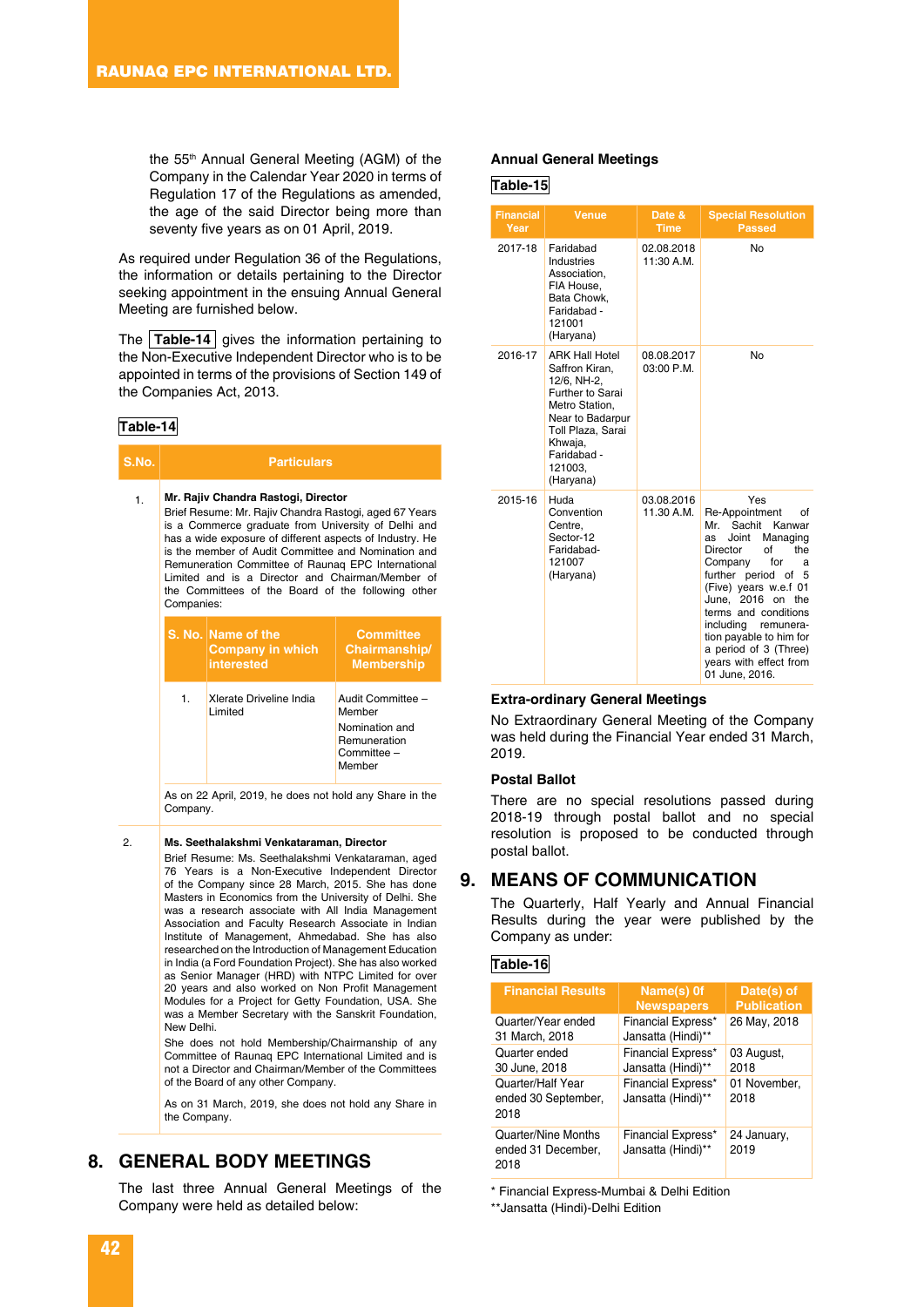the 55th Annual General Meeting (AGM) of the Company in the Calendar Year 2020 in terms of Regulation 17 of the Regulations as amended, the age of the said Director being more than seventy five years as on 01 April, 2019.

As required under Regulation 36 of the Regulations, the information or details pertaining to the Director seeking appointment in the ensuing Annual General Meeting are furnished below.

The **Table-14** gives the information pertaining to the Non-Executive Independent Director who is to be appointed in terms of the provisions of Section 149 of the Companies Act, 2013.

#### **Table-14**

| S.No. | <b>Particulars</b> |                                                                                                                                                                                                                                                                                                                                                                                                                                         |                                                                              |  |
|-------|--------------------|-----------------------------------------------------------------------------------------------------------------------------------------------------------------------------------------------------------------------------------------------------------------------------------------------------------------------------------------------------------------------------------------------------------------------------------------|------------------------------------------------------------------------------|--|
| 1.    | Companies:         | Mr. Rajiv Chandra Rastogi, Director<br>Brief Resume: Mr. Rajiv Chandra Rastogi, aged 67 Years<br>is a Commerce graduate from University of Delhi and<br>has a wide exposure of different aspects of Industry. He<br>is the member of Audit Committee and Nomination and<br>Remuneration Committee of Raunaq EPC International<br>Limited and is a Director and Chairman/Member of<br>the Committees of the Board of the following other |                                                                              |  |
|       |                    | S. No. Name of the<br><b>Company in which</b><br>interested                                                                                                                                                                                                                                                                                                                                                                             | <b>Committee</b><br>Chairmanship/<br><b>Membership</b>                       |  |
|       | 1.                 | Xlerate Driveline India<br>Limited                                                                                                                                                                                                                                                                                                                                                                                                      | Audit Committee -<br>Member<br>Nomination and<br>Remuneration<br>Committee – |  |

As on 22 April, 2019, he does not hold any Share in the Company.

**Member** 

#### 2. **Ms. Seethalakshmi Venkataraman, Director**

Brief Resume: Ms. Seethalakshmi Venkataraman, aged 76 Years is a Non-Executive Independent Director of the Company since 28 March, 2015. She has done Masters in Economics from the University of Delhi. She was a research associate with All India Management Association and Faculty Research Associate in Indian Institute of Management, Ahmedabad. She has also researched on the Introduction of Management Education in India (a Ford Foundation Project). She has also worked as Senior Manager (HRD) with NTPC Limited for over 20 years and also worked on Non Profit Management Modules for a Project for Getty Foundation, USA. She was a Member Secretary with the Sanskrit Foundation, New Delhi.

She does not hold Membership/Chairmanship of any Committee of Raunaq EPC International Limited and is not a Director and Chairman/Member of the Committees of the Board of any other Company.

As on 31 March, 2019, she does not hold any Share in the Company.

### **8. GENERAL BODY MEETINGS**

The last three Annual General Meetings of the Company were held as detailed below:

#### **Annual General Meetings**

#### **Table-15**

| <b>Financial</b><br>Year | <b>Venue</b>                                                                                                                                                                            | Date &<br><b>Time</b>    | <b>Special Resolution</b><br><b>Passed</b>                                                                                                                                                                                                                                                                                                               |
|--------------------------|-----------------------------------------------------------------------------------------------------------------------------------------------------------------------------------------|--------------------------|----------------------------------------------------------------------------------------------------------------------------------------------------------------------------------------------------------------------------------------------------------------------------------------------------------------------------------------------------------|
| 2017-18                  | Faridabad<br>Industries<br>Association,<br>FIA House,<br>Bata Chowk.<br>Faridabad -<br>121001<br>(Haryana)                                                                              | 02.08.2018<br>11:30 A.M. | No                                                                                                                                                                                                                                                                                                                                                       |
| 2016-17                  | <b>ARK Hall Hotel</b><br>Saffron Kiran.<br>12/6, NH-2,<br>Further to Sarai<br>Metro Station.<br>Near to Badarpur<br>Toll Plaza, Sarai<br>Khwaja,<br>Faridabad -<br>121003.<br>(Haryana) | 08.08.2017<br>03:00 P.M. | No                                                                                                                                                                                                                                                                                                                                                       |
| 2015-16                  | Huda<br>Convention<br>Centre,<br>Sector-12<br>Faridabad-<br>121007<br>(Haryana)                                                                                                         | 03.08.2016<br>11.30 A.M. | Yes<br>Re-Appointment<br>οf<br>Sachit<br>Kanwar<br>Mr.<br>Managing<br>Joint<br>as<br>Director<br>Ωf<br>the<br>for<br>Company<br>a<br>further period of<br>5<br>(Five) years w.e.f 01<br>June, 2016 on the<br>terms and conditions<br>including remunera-<br>tion payable to him for<br>a period of 3 (Three)<br>years with effect from<br>01 June, 2016. |

#### **Extra-ordinary General Meetings**

No Extraordinary General Meeting of the Company was held during the Financial Year ended 31 March, 2019.

#### **Postal Ballot**

There are no special resolutions passed during 2018-19 through postal ballot and no special resolution is proposed to be conducted through postal ballot.

### **9. MEANS OF COMMUNICATION**

The Quarterly, Half Yearly and Annual Financial Results during the year were published by the Company as under:

#### **Table-16**

| <b>Financial Results</b>                          | Name(s) 0f<br><b>Newspapers</b>                 | Date(s) of<br><b>Publication</b> |
|---------------------------------------------------|-------------------------------------------------|----------------------------------|
| Quarter/Year ended<br>31 March, 2018              | Financial Express*<br>Jansatta (Hindi)**        | 26 May, 2018                     |
| Quarter ended<br>30 June, 2018                    | <b>Financial Express*</b><br>Jansatta (Hindi)** | 03 August,<br>2018               |
| Quarter/Half Year<br>ended 30 September,<br>2018  | <b>Financial Express*</b><br>Jansatta (Hindi)** | 01 November,<br>2018             |
| Quarter/Nine Months<br>ended 31 December,<br>2018 | <b>Financial Express*</b><br>Jansatta (Hindi)** | 24 January,<br>2019              |

\* Financial Express-Mumbai & Delhi Edition

\*\*Jansatta (Hindi)-Delhi Edition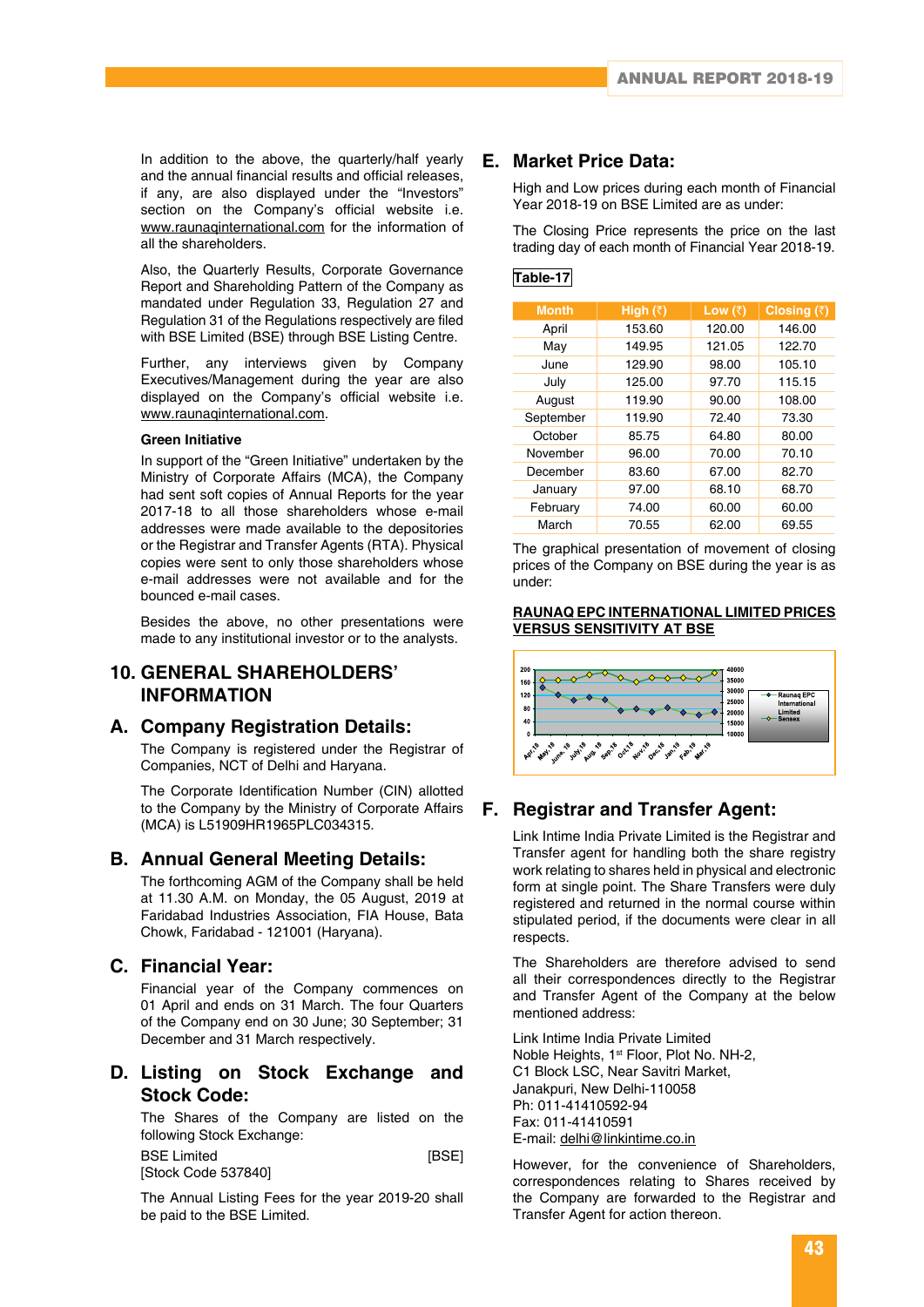In addition to the above, the quarterly/half yearly and the annual financial results and official releases, if any, are also displayed under the "Investors" section on the Company's official website i.e. www.raunaqinternational.com for the information of all the shareholders.

Also, the Quarterly Results, Corporate Governance Report and Shareholding Pattern of the Company as mandated under Regulation 33, Regulation 27 and Regulation 31 of the Regulations respectively are filed with BSE Limited (BSE) through BSE Listing Centre.

Further, any interviews given by Company Executives/Management during the year are also displayed on the Company's official website i.e. www.raunaqinternational.com.

#### **Green Initiative**

In support of the "Green Initiative" undertaken by the Ministry of Corporate Affairs (MCA), the Company had sent soft copies of Annual Reports for the year 2017-18 to all those shareholders whose e-mail addresses were made available to the depositories or the Registrar and Transfer Agents (RTA). Physical copies were sent to only those shareholders whose e-mail addresses were not available and for the bounced e-mail cases.

Besides the above, no other presentations were made to any institutional investor or to the analysts.

### **10. GENERAL SHAREHOLDERS' INFORMATION**

### **A. Company Registration Details:**

The Company is registered under the Registrar of Companies, NCT of Delhi and Haryana.

The Corporate Identification Number (CIN) allotted to the Company by the Ministry of Corporate Affairs (MCA) is L51909HR1965PLC034315.

### **B. Annual General Meeting Details:**

The forthcoming AGM of the Company shall be held at 11.30 A.M. on Monday, the 05 August, 2019 at Faridabad Industries Association, FIA House, Bata Chowk, Faridabad - 121001 (Haryana).

### **C. Financial Year:**

Financial year of the Company commences on 01 April and ends on 31 March. The four Quarters of the Company end on 30 June; 30 September; 31 December and 31 March respectively.

### **D. Listing on Stock Exchange and Stock Code:**

The Shares of the Company are listed on the following Stock Exchange:

BSE Limited [BSE] [Stock Code 537840]

The Annual Listing Fees for the year 2019-20 shall be paid to the BSE Limited.

### **E. Market Price Data:**

High and Low prices during each month of Financial Year 2018-19 on BSE Limited are as under:

The Closing Price represents the price on the last trading day of each month of Financial Year 2018-19.

### **Table-17**

| <b>Month</b> | High $(\bar{z})$ | Low $(\bar{z})$ | Closing $(\bar{z})$ |
|--------------|------------------|-----------------|---------------------|
| April        | 153.60           | 120.00          | 146.00              |
| May          | 149.95           | 121.05          | 122.70              |
| June         | 129.90           | 98.00           | 105.10              |
| July         | 125.00           | 97.70           | 115.15              |
| August       | 119.90           | 90.00           | 108.00              |
| September    | 119.90           | 72.40           | 73.30               |
| October      | 85.75            | 64.80           | 80.00               |
| November     | 96.00            | 70.00           | 70.10               |
| December     | 83.60            | 67.00           | 82.70               |
| January      | 97.00            | 68.10           | 68.70               |
| February     | 74.00            | 60.00           | 60.00               |
| March        | 70.55            | 62.00           | 69.55               |

The graphical presentation of movement of closing prices of the Company on BSE during the year is as under:

#### **RAUNAQ EPC INTERNATIONAL LIMITED PRICES VERSUS SENSITIVITY AT BSE**



### **F. Registrar and Transfer Agent:**

Link Intime India Private Limited is the Registrar and Transfer agent for handling both the share registry work relating to shares held in physical and electronic form at single point. The Share Transfers were duly registered and returned in the normal course within stipulated period, if the documents were clear in all respects.

The Shareholders are therefore advised to send all their correspondences directly to the Registrar and Transfer Agent of the Company at the below mentioned address:

Link Intime India Private Limited Noble Heights, 1st Floor, Plot No. NH-2, C1 Block LSC, Near Savitri Market, Janakpuri, New Delhi-110058 Ph: 011-41410592-94 Fax: 011-41410591 E-mail: delhi@linkintime.co.in

However, for the convenience of Shareholders, correspondences relating to Shares received by the Company are forwarded to the Registrar and Transfer Agent for action thereon.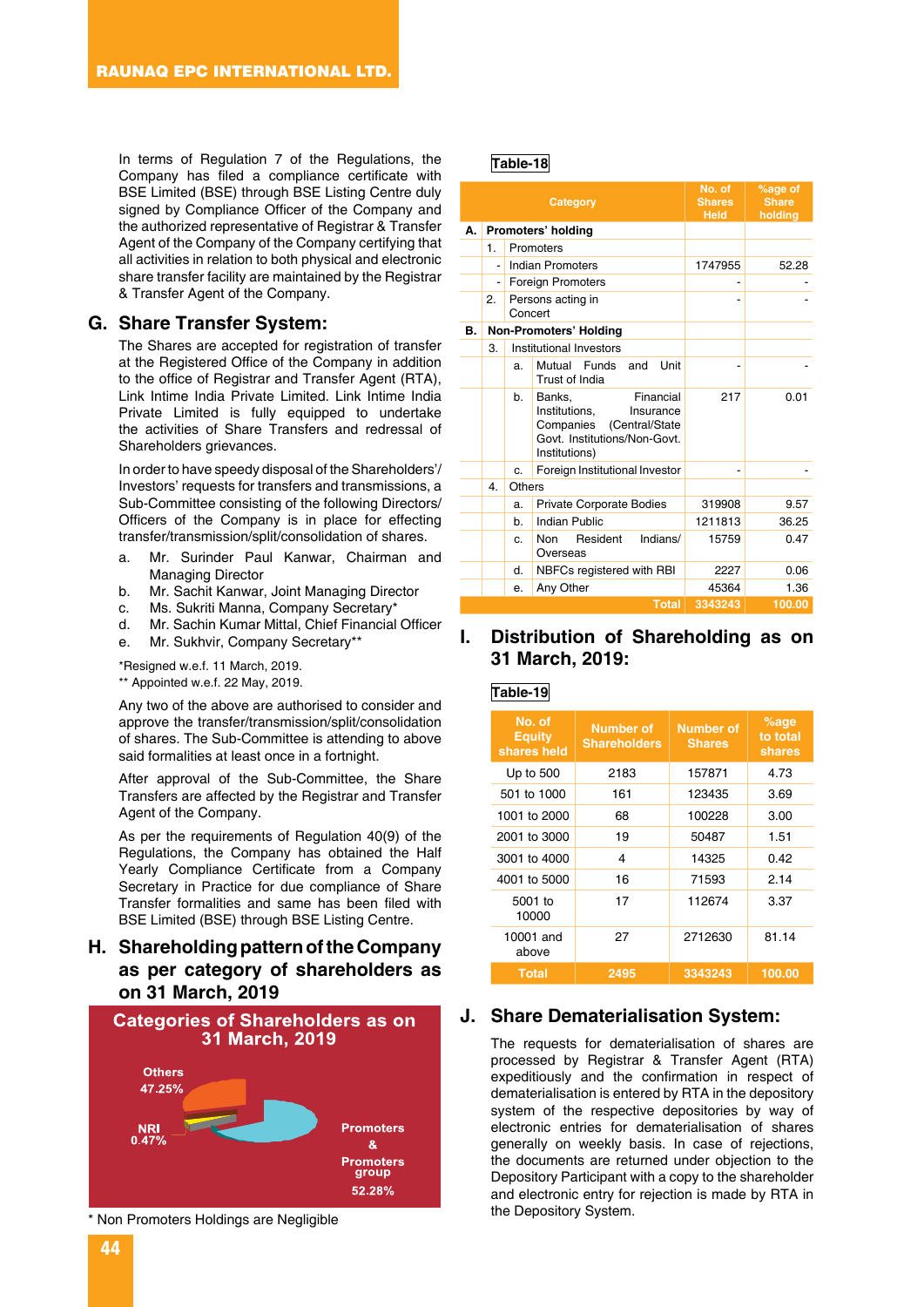In terms of Regulation 7 of the Regulations, the Company has filed a compliance certificate with BSE Limited (BSE) through BSE Listing Centre duly signed by Compliance Officer of the Company and the authorized representative of Registrar & Transfer Agent of the Company of the Company certifying that all activities in relation to both physical and electronic share transfer facility are maintained by the Registrar & Transfer Agent of the Company.

#### **G. Share Transfer System:**

The Shares are accepted for registration of transfer at the Registered Office of the Company in addition to the office of Registrar and Transfer Agent (RTA), Link Intime India Private Limited. Link Intime India Private Limited is fully equipped to undertake the activities of Share Transfers and redressal of Shareholders grievances.

In order to have speedy disposal of the Shareholders'/ Investors' requests for transfers and transmissions, a Sub-Committee consisting of the following Directors/ Officers of the Company is in place for effecting transfer/transmission/split/consolidation of shares.

- a. Mr. Surinder Paul Kanwar, Chairman and Managing Director
- b. Mr. Sachit Kanwar, Joint Managing Director
- c. Ms. Sukriti Manna, Company Secretary\*
- d. Mr. Sachin Kumar Mittal, Chief Financial Officer
- e. Mr. Sukhvir, Company Secretary\*\*

\*Resigned w.e.f. 11 March, 2019. \*\* Appointed w.e.f. 22 May, 2019.

Any two of the above are authorised to consider and approve the transfer/transmission/split/consolidation of shares. The Sub-Committee is attending to above said formalities at least once in a fortnight.

After approval of the Sub-Committee, the Share Transfers are affected by the Registrar and Transfer Agent of the Company.

As per the requirements of Regulation 40(9) of the Regulations, the Company has obtained the Half Yearly Compliance Certificate from a Company Secretary in Practice for due compliance of Share Transfer formalities and same has been filed with BSE Limited (BSE) through BSE Listing Centre.

### **H. Shareholding pattern of the Company as per category of shareholders as on 31 March, 2019**



Non Promoters Holdings are Negligible

### **Table-18**

|    |                          |         | Category                                                                                                                          | No. of<br><b>Shares</b><br><b>Held</b> | %age of<br><b>Share</b><br>holding |
|----|--------------------------|---------|-----------------------------------------------------------------------------------------------------------------------------------|----------------------------------------|------------------------------------|
| А. |                          |         | Promoters' holding                                                                                                                |                                        |                                    |
|    | 1.                       |         | Promoters                                                                                                                         |                                        |                                    |
|    |                          |         | Indian Promoters                                                                                                                  | 1747955                                | 52.28                              |
|    | $\overline{\phantom{a}}$ |         | <b>Foreign Promoters</b>                                                                                                          |                                        |                                    |
|    | 2.                       | Concert | Persons acting in                                                                                                                 |                                        |                                    |
| В. |                          |         | Non-Promoters' Holding                                                                                                            |                                        |                                    |
|    | 3.                       |         | Institutional Investors                                                                                                           |                                        |                                    |
|    |                          | a.      | <b>Funds</b><br>Unit<br>Mutual<br>and<br>Trust of India                                                                           |                                        |                                    |
|    |                          | b.      | Financial<br>Banks,<br>Institutions,<br>Insurance<br>Companies<br>(Central/State<br>Govt. Institutions/Non-Govt.<br>Institutions) | 217                                    | 0.01                               |
|    |                          | c.      | Foreign Institutional Investor                                                                                                    |                                        |                                    |
|    | 4.                       | Others  |                                                                                                                                   |                                        |                                    |
|    |                          | a.      | <b>Private Corporate Bodies</b>                                                                                                   | 319908                                 | 9.57                               |
|    |                          | b.      | <b>Indian Public</b>                                                                                                              | 1211813                                | 36.25                              |
|    |                          | C.      | Indians/<br>Non<br>Resident<br>Overseas                                                                                           | 15759                                  | 0.47                               |
|    |                          | d.      | NBFCs registered with RBI                                                                                                         | 2227                                   | 0.06                               |
|    |                          | е.      | Any Other                                                                                                                         | 45364                                  | 1.36                               |
|    |                          |         | <b>Total</b>                                                                                                                      | 3343243                                | 100.00                             |

### **I. Distribution of Shareholding as on 31 March, 2019:**

### **Table-19**

| No. of<br><b>Equity</b><br>shares held | Number of<br><b>Shareholders</b> | <b>Number of</b><br><b>Shares</b> | $%$ age<br>to total<br>shares |
|----------------------------------------|----------------------------------|-----------------------------------|-------------------------------|
| Up to $500$                            | 2183                             | 157871                            | 4.73                          |
| 501 to 1000                            | 161                              | 123435                            | 3.69                          |
| 1001 to 2000                           | 68                               | 100228                            | 3.00                          |
| 2001 to 3000                           | 19                               | 50487                             | 1.51                          |
| 3001 to 4000                           | 4                                | 14325                             | 0.42                          |
| 4001 to 5000                           | 16                               | 71593                             | 2.14                          |
| 5001 to<br>10000                       | 17                               | 112674                            | 3.37                          |
| 10001 and<br>above                     | 27                               | 2712630                           | 81.14                         |
| <b>Total</b>                           | 2495                             | 3343243                           | 100.00                        |

#### **J. Share Dematerialisation System:**

The requests for dematerialisation of shares are processed by Registrar & Transfer Agent (RTA) expeditiously and the confirmation in respect of dematerialisation is entered by RTA in the depository system of the respective depositories by way of electronic entries for dematerialisation of shares generally on weekly basis. In case of rejections, the documents are returned under objection to the Depository Participant with a copy to the shareholder and electronic entry for rejection is made by RTA in the Depository System.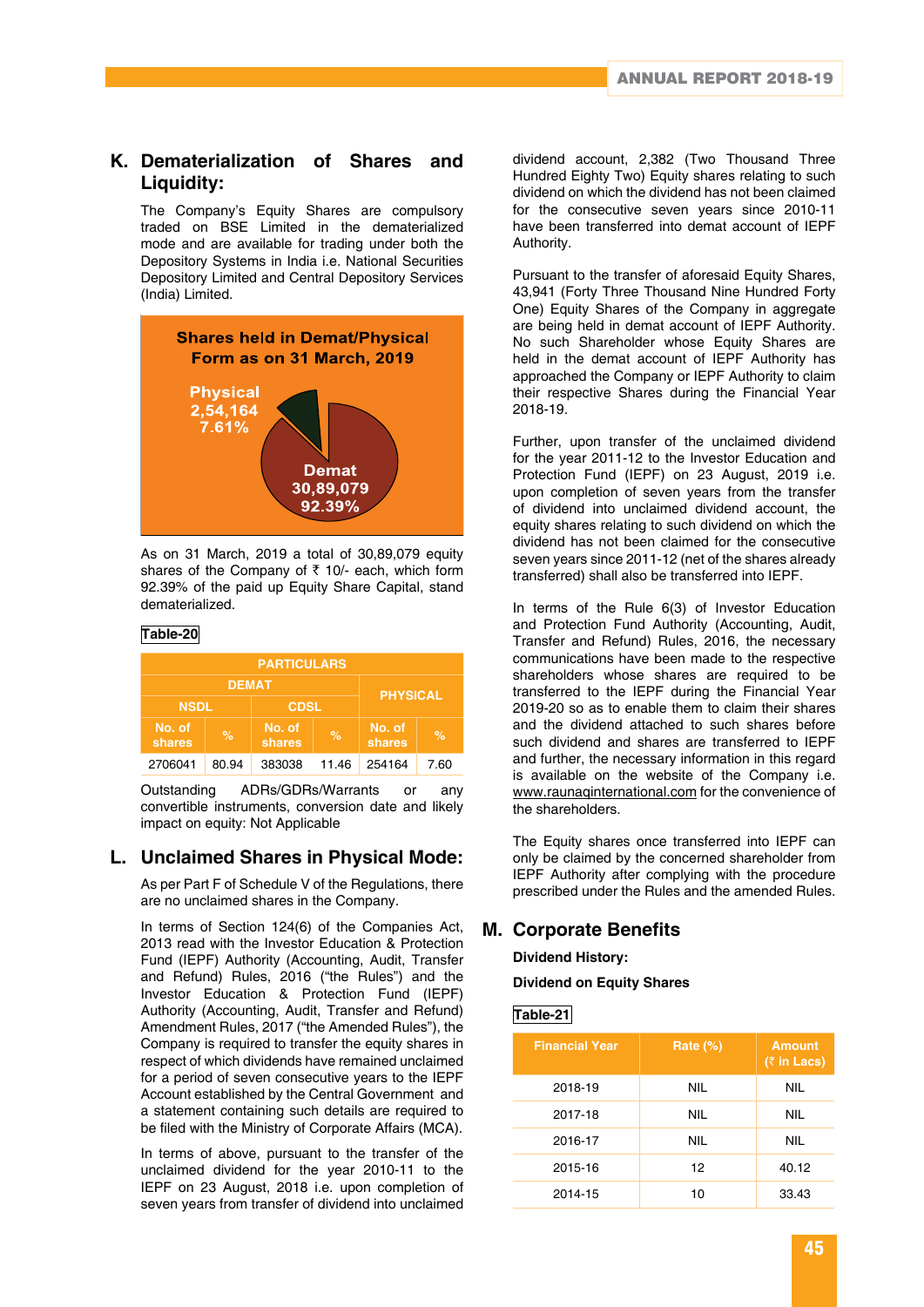### **K. Dematerialization of Shares and Liquidity:**

The Company's Equity Shares are compulsory traded on BSE Limited in the dematerialized mode and are available for trading under both the Depository Systems in India i.e. National Securities Depository Limited and Central Depository Services (India) Limited.



As on 31 March, 2019 a total of 30,89,079 equity shares of the Company of  $\bar{\tau}$  10/- each, which form 92.39% of the paid up Equity Share Capital, stand dematerialized.

#### **Table-20**

| <b>PARTICULARS</b>              |       |                  |                          |        |      |  |
|---------------------------------|-------|------------------|--------------------------|--------|------|--|
| <b>DEMAT</b><br><b>PHYSICAL</b> |       |                  |                          |        |      |  |
| <b>CDSL</b><br><b>NSDL</b>      |       |                  |                          |        |      |  |
| No. of<br>shares                | $\%$  | No. of<br>shares | No. of<br>$\%$<br>shares |        | $\%$ |  |
| 2706041                         | 80.94 | 383038           | 11.46                    | 254164 | 7.60 |  |

Outstanding ADRs/GDRs/Warrants or any convertible instruments, conversion date and likely impact on equity: Not Applicable

### **L. Unclaimed Shares in Physical Mode:**

As per Part F of Schedule V of the Regulations, there are no unclaimed shares in the Company.

In terms of Section 124(6) of the Companies Act, 2013 read with the Investor Education & Protection Fund (IEPF) Authority (Accounting, Audit, Transfer and Refund) Rules, 2016 ("the Rules") and the Investor Education & Protection Fund (IEPF) Authority (Accounting, Audit, Transfer and Refund) Amendment Rules, 2017 ("the Amended Rules"), the Company is required to transfer the equity shares in respect of which dividends have remained unclaimed for a period of seven consecutive years to the IEPF Account established by the Central Government and a statement containing such details are required to be filed with the Ministry of Corporate Affairs (MCA).

In terms of above, pursuant to the transfer of the unclaimed dividend for the year 2010-11 to the IEPF on 23 August, 2018 i.e. upon completion of seven years from transfer of dividend into unclaimed

dividend account, 2,382 (Two Thousand Three Hundred Eighty Two) Equity shares relating to such dividend on which the dividend has not been claimed for the consecutive seven years since 2010-11 have been transferred into demat account of IEPF Authority.

Pursuant to the transfer of aforesaid Equity Shares, 43,941 (Forty Three Thousand Nine Hundred Forty One) Equity Shares of the Company in aggregate are being held in demat account of IEPF Authority. No such Shareholder whose Equity Shares are held in the demat account of IEPF Authority has approached the Company or IEPF Authority to claim their respective Shares during the Financial Year 2018-19.

Further, upon transfer of the unclaimed dividend for the year 2011-12 to the Investor Education and Protection Fund (IEPF) on 23 August, 2019 i.e. upon completion of seven years from the transfer of dividend into unclaimed dividend account, the equity shares relating to such dividend on which the dividend has not been claimed for the consecutive seven years since 2011-12 (net of the shares already transferred) shall also be transferred into IEPF.

In terms of the Rule 6(3) of Investor Education and Protection Fund Authority (Accounting, Audit, Transfer and Refund) Rules, 2016, the necessary communications have been made to the respective shareholders whose shares are required to be transferred to the IEPF during the Financial Year 2019-20 so as to enable them to claim their shares and the dividend attached to such shares before such dividend and shares are transferred to IEPF and further, the necessary information in this regard is available on the website of the Company i.e. www.raunaqinternational.com for the convenience of the shareholders.

The Equity shares once transferred into IEPF can only be claimed by the concerned shareholder from IEPF Authority after complying with the procedure prescribed under the Rules and the amended Rules.

### **M. Corporate Benefits**

**Dividend History:**

#### **Dividend on Equity Shares**

**Table-21**

| <b>Financial Year</b> | Rate $(\%)$ | <b>Amount</b><br>$(3 \nvert \cdot \nvert$ Lacs) |
|-----------------------|-------------|-------------------------------------------------|
| 2018-19               | <b>NIL</b>  | <b>NIL</b>                                      |
| 2017-18               | <b>NIL</b>  | <b>NIL</b>                                      |
| 2016-17               | NIL.        | <b>NIL</b>                                      |
| 2015-16               | 12          | 40.12                                           |
| 2014-15               | 10          | 33.43                                           |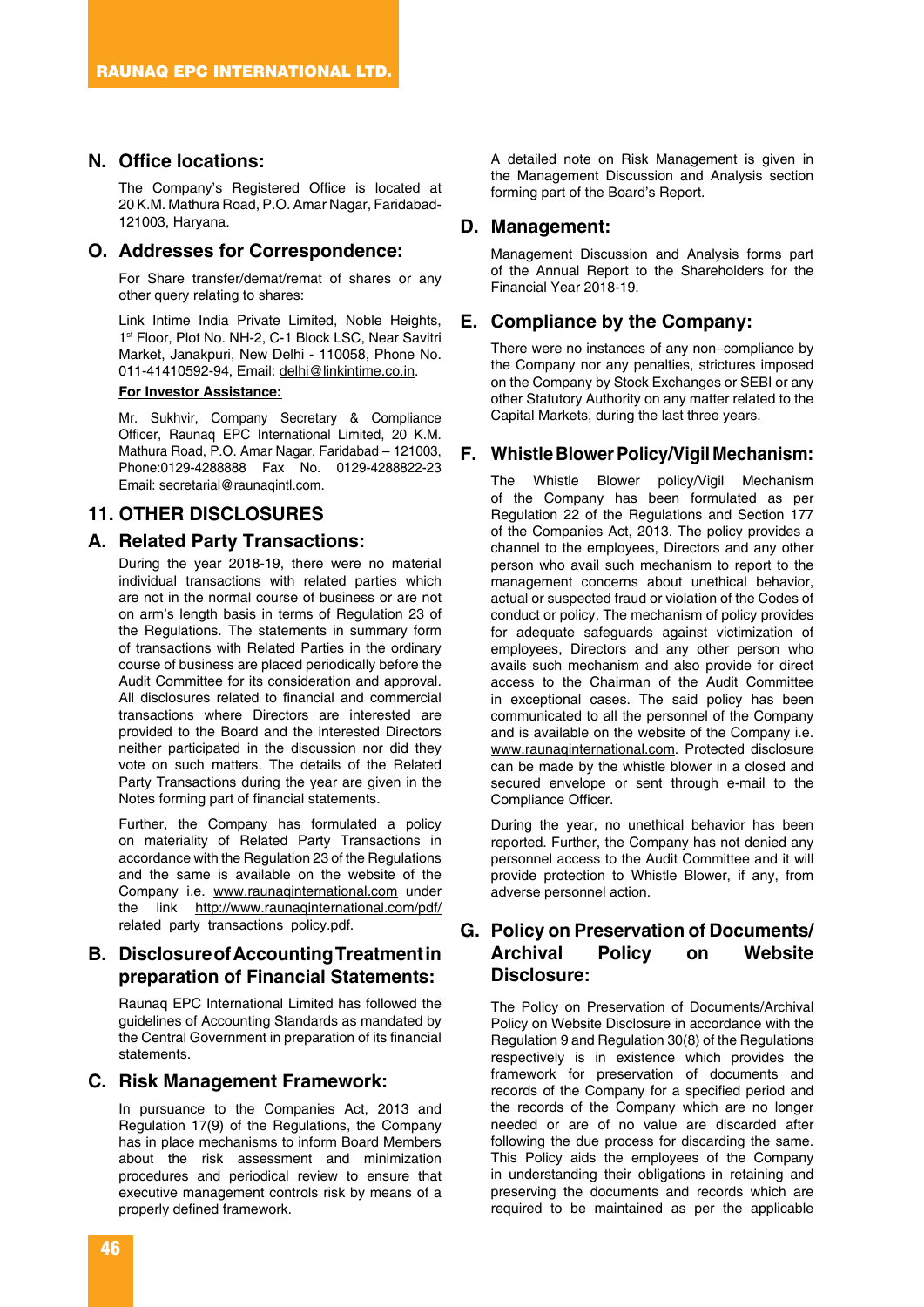### **N. Office locations:**

The Company's Registered Office is located at 20 K.M. Mathura Road, P.O. Amar Nagar, Faridabad-121003, Haryana.

### **O. Addresses for Correspondence:**

For Share transfer/demat/remat of shares or any other query relating to shares:

Link Intime India Private Limited, Noble Heights, 1<sup>st</sup> Floor, Plot No. NH-2, C-1 Block LSC, Near Savitri Market, Janakpuri, New Delhi - 110058, Phone No. 011-41410592-94, Email: delhi@linkintime.co.in.

#### **For Investor Assistance:**

Mr. Sukhvir, Company Secretary & Compliance Officer, Raunaq EPC International Limited, 20 K.M. Mathura Road, P.O. Amar Nagar, Faridabad – 121003, Phone:0129-4288888 Fax No. 0129-4288822-23 Email: secretarial@raunaqintl.com.

### **11. OTHER DISCLOSURES**

### **A. Related Party Transactions:**

During the year 2018-19, there were no material individual transactions with related parties which are not in the normal course of business or are not on arm's length basis in terms of Regulation 23 of the Regulations. The statements in summary form of transactions with Related Parties in the ordinary course of business are placed periodically before the Audit Committee for its consideration and approval. All disclosures related to financial and commercial transactions where Directors are interested are provided to the Board and the interested Directors neither participated in the discussion nor did they vote on such matters. The details of the Related Party Transactions during the year are given in the Notes forming part of financial statements.

Further, the Company has formulated a policy on materiality of Related Party Transactions in accordance with the Regulation 23 of the Regulations and the same is available on the website of the Company i.e. www.raunaqinternational.com under the link http://www.raunaqinternational.com/pdf/ related\_party\_transactions\_policy.pdf.

### **B. Disclosure of Accounting Treatment in preparation of Financial Statements:**

Raunaq EPC International Limited has followed the guidelines of Accounting Standards as mandated by the Central Government in preparation of its financial statements.

#### **C. Risk Management Framework:**

In pursuance to the Companies Act, 2013 and Regulation 17(9) of the Regulations, the Company has in place mechanisms to inform Board Members about the risk assessment and minimization procedures and periodical review to ensure that executive management controls risk by means of a properly defined framework.

A detailed note on Risk Management is given in the Management Discussion and Analysis section forming part of the Board's Report.

#### **D. Management:**

Management Discussion and Analysis forms part of the Annual Report to the Shareholders for the Financial Year 2018-19.

### **E. Compliance by the Company:**

There were no instances of any non–compliance by the Company nor any penalties, strictures imposed on the Company by Stock Exchanges or SEBI or any other Statutory Authority on any matter related to the Capital Markets, during the last three years.

### **F. Whistle Blower Policy/Vigil Mechanism:**

The Whistle Blower policy/Vigil Mechanism of the Company has been formulated as per Regulation 22 of the Regulations and Section 177 of the Companies Act, 2013. The policy provides a channel to the employees, Directors and any other person who avail such mechanism to report to the management concerns about unethical behavior, actual or suspected fraud or violation of the Codes of conduct or policy. The mechanism of policy provides for adequate safeguards against victimization of employees, Directors and any other person who avails such mechanism and also provide for direct access to the Chairman of the Audit Committee in exceptional cases. The said policy has been communicated to all the personnel of the Company and is available on the website of the Company i.e. www.raunaqinternational.com. Protected disclosure can be made by the whistle blower in a closed and secured envelope or sent through e-mail to the Compliance Officer.

During the year, no unethical behavior has been reported. Further, the Company has not denied any personnel access to the Audit Committee and it will provide protection to Whistle Blower, if any, from adverse personnel action.

### **G. Policy on Preservation of Documents/ Archival Policy on Website Disclosure:**

The Policy on Preservation of Documents/Archival Policy on Website Disclosure in accordance with the Regulation 9 and Regulation 30(8) of the Regulations respectively is in existence which provides the framework for preservation of documents and records of the Company for a specified period and the records of the Company which are no longer needed or are of no value are discarded after following the due process for discarding the same. This Policy aids the employees of the Company in understanding their obligations in retaining and preserving the documents and records which are required to be maintained as per the applicable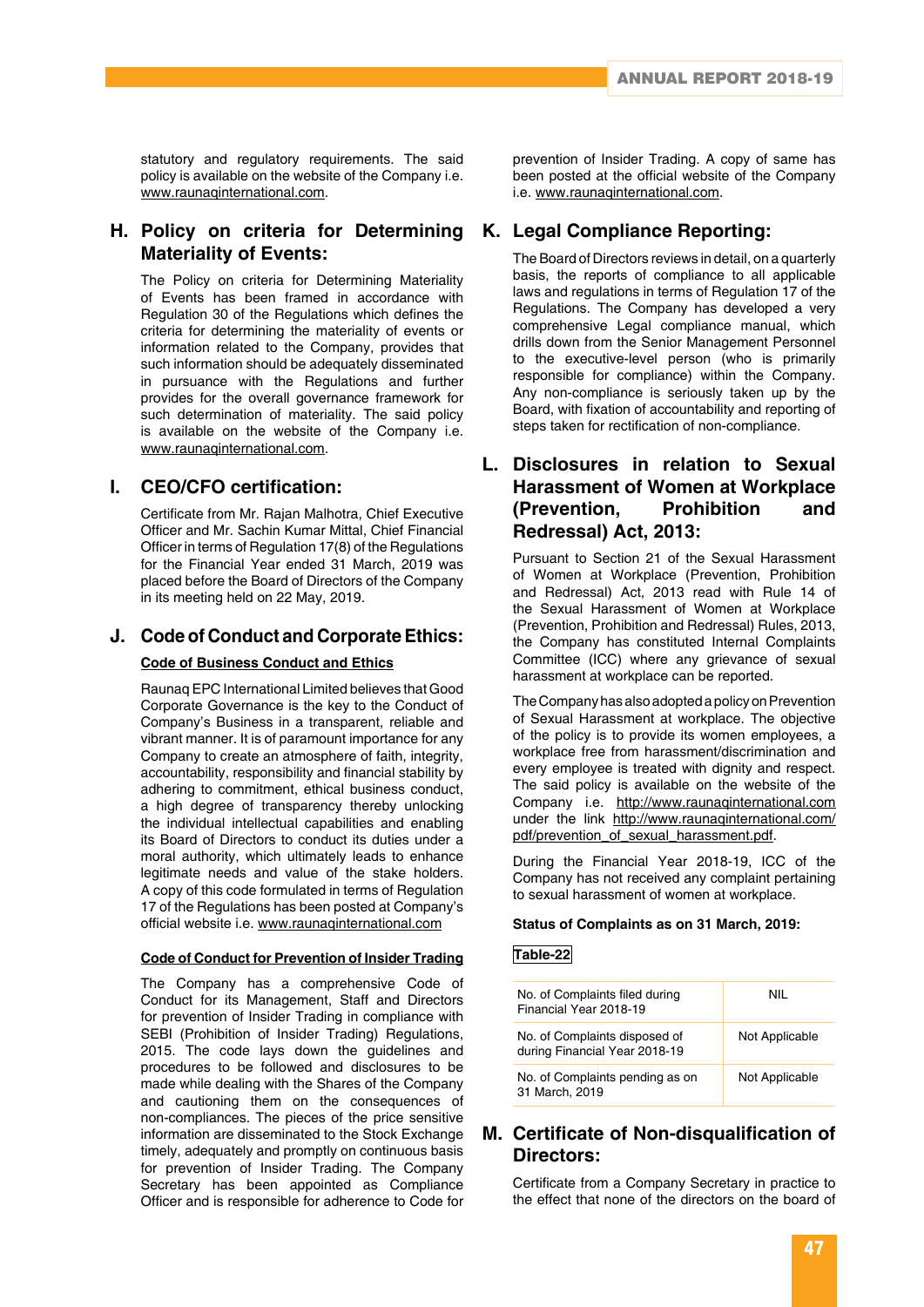statutory and regulatory requirements. The said policy is available on the website of the Company i.e. www.raunaqinternational.com.

### **H. Policy on criteria for Determining Materiality of Events:**

The Policy on criteria for Determining Materiality of Events has been framed in accordance with Regulation 30 of the Regulations which defines the criteria for determining the materiality of events or information related to the Company, provides that such information should be adequately disseminated in pursuance with the Regulations and further provides for the overall governance framework for such determination of materiality. The said policy is available on the website of the Company i.e. www.raunaqinternational.com.

### **I. CEO/CFO certification:**

Certificate from Mr. Rajan Malhotra, Chief Executive Officer and Mr. Sachin Kumar Mittal, Chief Financial Officer in terms of Regulation 17(8) of the Regulations for the Financial Year ended 31 March, 2019 was placed before the Board of Directors of the Company in its meeting held on 22 May, 2019.

## **J. Code of Conduct and Corporate Ethics:**

### **Code of Business Conduct and Ethics**

Raunaq EPC International Limited believes that Good Corporate Governance is the key to the Conduct of Company's Business in a transparent, reliable and vibrant manner. It is of paramount importance for any Company to create an atmosphere of faith, integrity, accountability, responsibility and financial stability by adhering to commitment, ethical business conduct, a high degree of transparency thereby unlocking the individual intellectual capabilities and enabling its Board of Directors to conduct its duties under a moral authority, which ultimately leads to enhance legitimate needs and value of the stake holders. A copy of this code formulated in terms of Regulation 17 of the Regulations has been posted at Company's official website i.e. www.raunaqinternational.com

### **Code of Conduct for Prevention of Insider Trading**

The Company has a comprehensive Code of Conduct for its Management, Staff and Directors for prevention of Insider Trading in compliance with SEBI (Prohibition of Insider Trading) Regulations, 2015. The code lays down the guidelines and procedures to be followed and disclosures to be made while dealing with the Shares of the Company and cautioning them on the consequences of non-compliances. The pieces of the price sensitive information are disseminated to the Stock Exchange timely, adequately and promptly on continuous basis for prevention of Insider Trading. The Company Secretary has been appointed as Compliance Officer and is responsible for adherence to Code for

prevention of Insider Trading. A copy of same has been posted at the official website of the Company i.e. www.raunaqinternational.com.

### **K. Legal Compliance Reporting:**

The Board of Directors reviews in detail, on a quarterly basis, the reports of compliance to all applicable laws and regulations in terms of Regulation 17 of the Regulations. The Company has developed a very comprehensive Legal compliance manual, which drills down from the Senior Management Personnel to the executive-level person (who is primarily responsible for compliance) within the Company. Any non-compliance is seriously taken up by the Board, with fixation of accountability and reporting of steps taken for rectification of non-compliance.

### **L. Disclosures in relation to Sexual Harassment of Women at Workplace (Prevention, Prohibition) Redressal) Act, 2013:**

Pursuant to Section 21 of the Sexual Harassment of Women at Workplace (Prevention, Prohibition and Redressal) Act, 2013 read with Rule 14 of the Sexual Harassment of Women at Workplace (Prevention, Prohibition and Redressal) Rules, 2013, the Company has constituted Internal Complaints Committee (ICC) where any grievance of sexual harassment at workplace can be reported.

The Company has also adopted a policy on Prevention of Sexual Harassment at workplace. The objective of the policy is to provide its women employees, a workplace free from harassment/discrimination and every employee is treated with dignity and respect. The said policy is available on the website of the Company i.e. http://www.raunaqinternational.com under the link http://www.raunaqinternational.com/ pdf/prevention\_of\_sexual\_harassment.pdf.

During the Financial Year 2018-19, ICC of the Company has not received any complaint pertaining to sexual harassment of women at workplace.

#### **Status of Complaints as on 31 March, 2019:**

### **Table-22**

| No. of Complaints filed during<br>Financial Year 2018-19       | NII            |
|----------------------------------------------------------------|----------------|
| No. of Complaints disposed of<br>during Financial Year 2018-19 | Not Applicable |
| No. of Complaints pending as on<br>31 March, 2019              | Not Applicable |

### **M. Certificate of Non-disqualification of Directors:**

Certificate from a Company Secretary in practice to the effect that none of the directors on the board of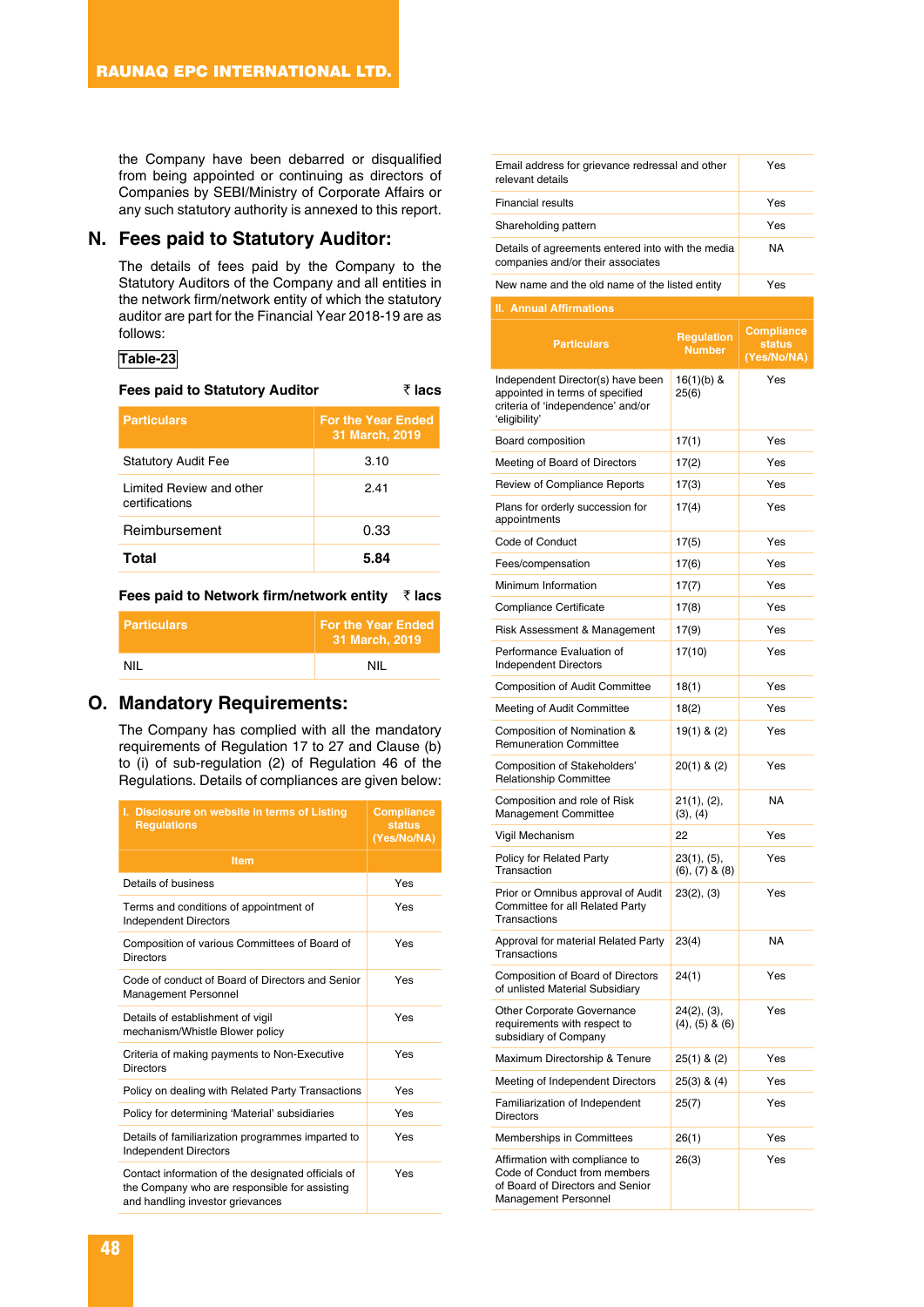the Company have been debarred or disqualified from being appointed or continuing as directors of Companies by SEBI/Ministry of Corporate Affairs or any such statutory authority is annexed to this report.

### **N. Fees paid to Statutory Auditor:**

The details of fees paid by the Company to the Statutory Auditors of the Company and all entities in the network firm/network entity of which the statutory auditor are part for the Financial Year 2018-19 are as follows:

### **Table-23**

| <b>Fees paid to Statutory Auditor</b>      | ₹ lacs                                      |
|--------------------------------------------|---------------------------------------------|
| <b>Particulars</b>                         | <b>For the Year Ended</b><br>31 March, 2019 |
| <b>Statutory Audit Fee</b>                 | 3.10                                        |
| Limited Review and other<br>certifications | 2.41                                        |
| Reimbursement                              | 0.33                                        |
| Total                                      | 5.84                                        |

#### **Fees paid to Network firm/network entity** ` **lacs**

| <b>Particulars</b> | <b>For the Year Ended</b><br>31 March, 2019 |  |
|--------------------|---------------------------------------------|--|
| NII                | NII                                         |  |

### **O. Mandatory Requirements:**

The Company has complied with all the mandatory requirements of Regulation 17 to 27 and Clause (b) to (i) of sub-regulation (2) of Regulation 46 of the Regulations. Details of compliances are given below:

| I. Disclosure on website in terms of Listing<br><b>Regulations</b>                                                                      | <b>Compliance</b><br><b>status</b><br>(Yes/No/NA) |
|-----------------------------------------------------------------------------------------------------------------------------------------|---------------------------------------------------|
| <b>Item</b>                                                                                                                             |                                                   |
| Details of business                                                                                                                     | Yes                                               |
| Terms and conditions of appointment of<br><b>Independent Directors</b>                                                                  | Yes                                               |
| Composition of various Committees of Board of<br><b>Directors</b>                                                                       | Yes                                               |
| Code of conduct of Board of Directors and Senior<br><b>Management Personnel</b>                                                         | Yes                                               |
| Details of establishment of vigil<br>mechanism/Whistle Blower policy                                                                    | Yes                                               |
| Criteria of making payments to Non-Executive<br><b>Directors</b>                                                                        | Yes                                               |
| Policy on dealing with Related Party Transactions                                                                                       | Yes                                               |
| Policy for determining 'Material' subsidiaries                                                                                          | Yes                                               |
| Details of familiarization programmes imparted to<br><b>Independent Directors</b>                                                       | Yes                                               |
| Contact information of the designated officials of<br>the Company who are responsible for assisting<br>and handling investor grievances | Yes                                               |

| Email address for grievance redressal and other<br>relevant details                                                        |                                      | Yes                                               |
|----------------------------------------------------------------------------------------------------------------------------|--------------------------------------|---------------------------------------------------|
| <b>Financial results</b>                                                                                                   |                                      | Yes                                               |
| Shareholding pattern                                                                                                       |                                      | Yes                                               |
| Details of agreements entered into with the media<br>companies and/or their associates                                     |                                      | <b>NA</b>                                         |
| New name and the old name of the listed entity                                                                             |                                      | Yes                                               |
| <b>II. Annual Affirmations</b>                                                                                             |                                      |                                                   |
| <b>Particulars</b>                                                                                                         | <b>Regulation</b><br><b>Number</b>   | <b>Compliance</b><br><b>status</b><br>(Yes/No/NA) |
| Independent Director(s) have been<br>appointed in terms of specified<br>criteria of 'independence' and/or<br>'eligibility' | $16(1)(b)$ &<br>25(6)                | Yes                                               |
| Board composition                                                                                                          | 17(1)                                | Yes                                               |
| Meeting of Board of Directors                                                                                              | 17(2)                                | Yes                                               |
| Review of Compliance Reports                                                                                               | 17(3)                                | Yes                                               |
| Plans for orderly succession for<br>appointments                                                                           | 17(4)                                | Yes                                               |
| Code of Conduct                                                                                                            | 17(5)                                | Yes                                               |
| Fees/compensation                                                                                                          | 17(6)                                | Yes                                               |
| Minimum Information                                                                                                        | 17(7)                                | Yes                                               |
| Compliance Certificate                                                                                                     | 17(8)                                | Yes                                               |
| Risk Assessment & Management                                                                                               | 17(9)                                | Yes                                               |
| Performance Evaluation of<br><b>Independent Directors</b>                                                                  | 17(10)                               | Yes                                               |
| <b>Composition of Audit Committee</b>                                                                                      | 18(1)                                | Yes                                               |
| Meeting of Audit Committee                                                                                                 | 18(2)                                | Yes                                               |
| Composition of Nomination &<br><b>Remuneration Committee</b>                                                               | $19(1)$ & (2)                        | Yes                                               |
| Composition of Stakeholders'<br><b>Relationship Committee</b>                                                              | $20(1)$ & $(2)$                      | Yes                                               |
| Composition and role of Risk<br><b>Management Committee</b>                                                                | 21(1), (2),<br>(3), (4)              | <b>NA</b>                                         |
| Vigil Mechanism                                                                                                            | 22                                   | Yes                                               |
| Policy for Related Party<br>Transaction                                                                                    | 23(1), (5),<br>$(6), (7)$ & $(8)$    | Yes                                               |
| Prior or Omnibus approval of Audit<br>Committee for all Related Party<br>Transactions                                      | 23(2), (3)                           | Yes                                               |
| Approval for material Related Party<br>Transactions                                                                        | 23(4)                                | <b>NA</b>                                         |
| <b>Composition of Board of Directors</b><br>of unlisted Material Subsidiary                                                | 24(1)                                | Yes                                               |
| Other Corporate Governance<br>requirements with respect to<br>subsidiary of Company                                        | 24(2), (3),<br>$(4)$ , $(5)$ & $(6)$ | Yes                                               |
| Maximum Directorship & Tenure                                                                                              | 25(1) & (2)                          | Yes                                               |
| Meeting of Independent Directors                                                                                           | 25(3) & (4)                          | Yes                                               |
| Familiarization of Independent<br><b>Directors</b>                                                                         | 25(7)                                | Yes                                               |
| Memberships in Committees                                                                                                  | 26(1)                                | Yes                                               |
| Affirmation with compliance to<br>Code of Conduct from members<br>of Board of Directors and Senior<br>Management Personnel | 26(3)                                | Yes                                               |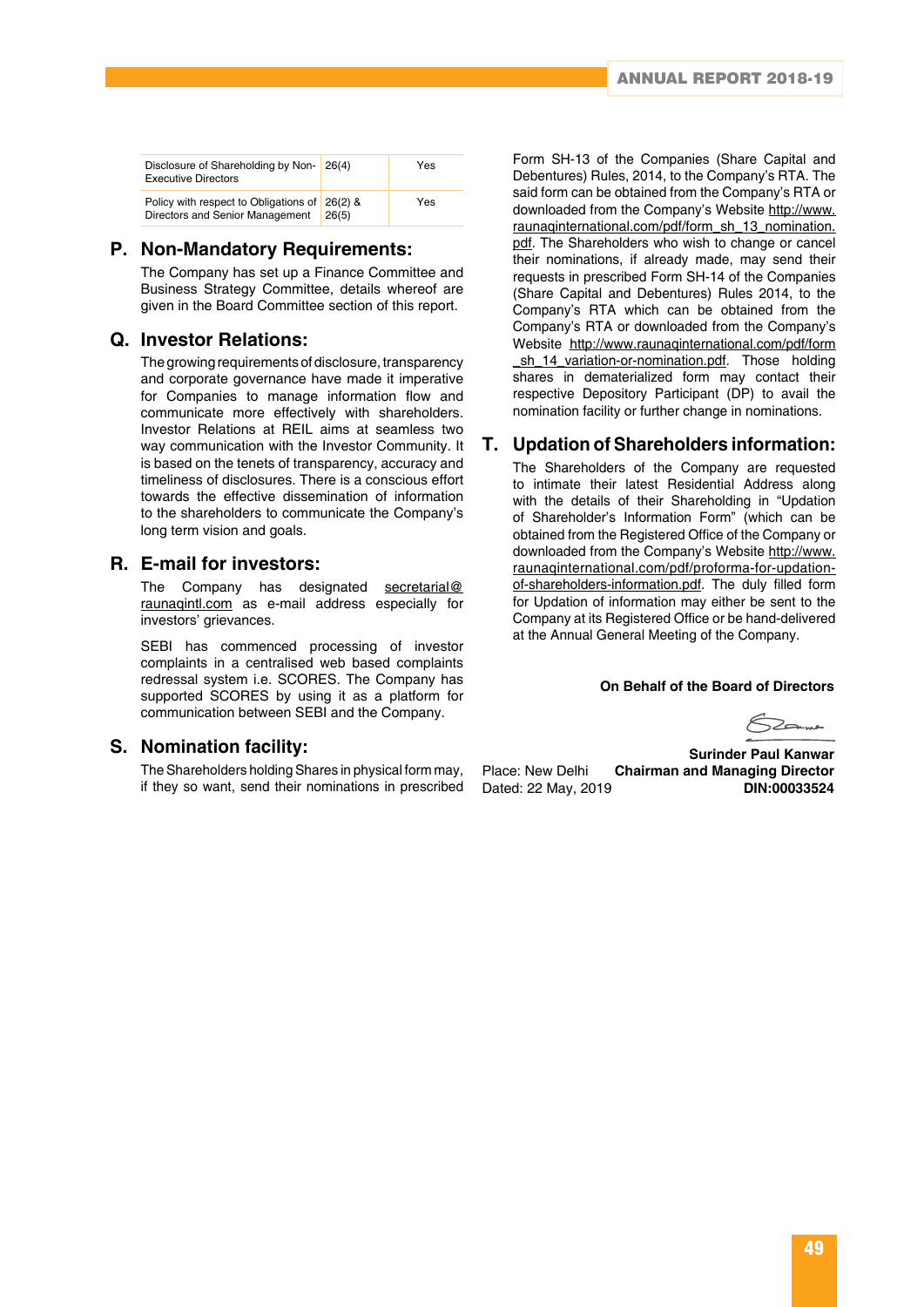| Disclosure of Shareholding by Non- 26(4)<br><b>Executive Directors</b>           |       | Yes |
|----------------------------------------------------------------------------------|-------|-----|
| Policy with respect to Obligations of 26(2) &<br>Directors and Senior Management | 26(5) | Yes |

### **P. Non-Mandatory Requirements:**

The Company has set up a Finance Committee and Business Strategy Committee, details whereof are given in the Board Committee section of this report.

### **Q. Investor Relations:**

The growing requirements of disclosure, transparency and corporate governance have made it imperative for Companies to manage information flow and communicate more effectively with shareholders. Investor Relations at REIL aims at seamless two way communication with the Investor Community. It is based on the tenets of transparency, accuracy and timeliness of disclosures. There is a conscious effort towards the effective dissemination of information to the shareholders to communicate the Company's long term vision and goals.

### **R. E-mail for investors:**

The Company has designated secretarial@ raunaqintl.com as e-mail address especially for investors' grievances.

SEBI has commenced processing of investor complaints in a centralised web based complaints redressal system i.e. SCORES. The Company has supported SCORES by using it as a platform for communication between SEBI and the Company.

### **S. Nomination facility:**

The Shareholders holding Shares in physical form may, if they so want, send their nominations in prescribed Form SH-13 of the Companies (Share Capital and Debentures) Rules, 2014, to the Company's RTA. The said form can be obtained from the Company's RTA or downloaded from the Company's Website http://www. raunaqinternational.com/pdf/form\_sh\_13\_nomination. pdf. The Shareholders who wish to change or cancel their nominations, if already made, may send their requests in prescribed Form SH-14 of the Companies (Share Capital and Debentures) Rules 2014, to the Company's RTA which can be obtained from the Company's RTA or downloaded from the Company's Website http://www.raunaqinternational.com/pdf/form \_sh\_14\_variation-or-nomination.pdf. Those holding shares in dematerialized form may contact their respective Depository Participant (DP) to avail the nomination facility or further change in nominations.

### **T. Updation of Shareholders information:**

The Shareholders of the Company are requested to intimate their latest Residential Address along with the details of their Shareholding in "Updation of Shareholder's Information Form" (which can be obtained from the Registered Office of the Company or downloaded from the Company's Website http://www. raunaqinternational.com/pdf/proforma-for-updationof-shareholders-information.pdf. The duly filled form for Updation of information may either be sent to the Company at its Registered Office or be hand-delivered at the Annual General Meeting of the Company.

#### **On Behalf of the Board of Directors**

 $\sum$ anner

 **Surinder Paul Kanwar** Place: New Delhi **Chairman and Managing Director** Dated: 22 May, 2019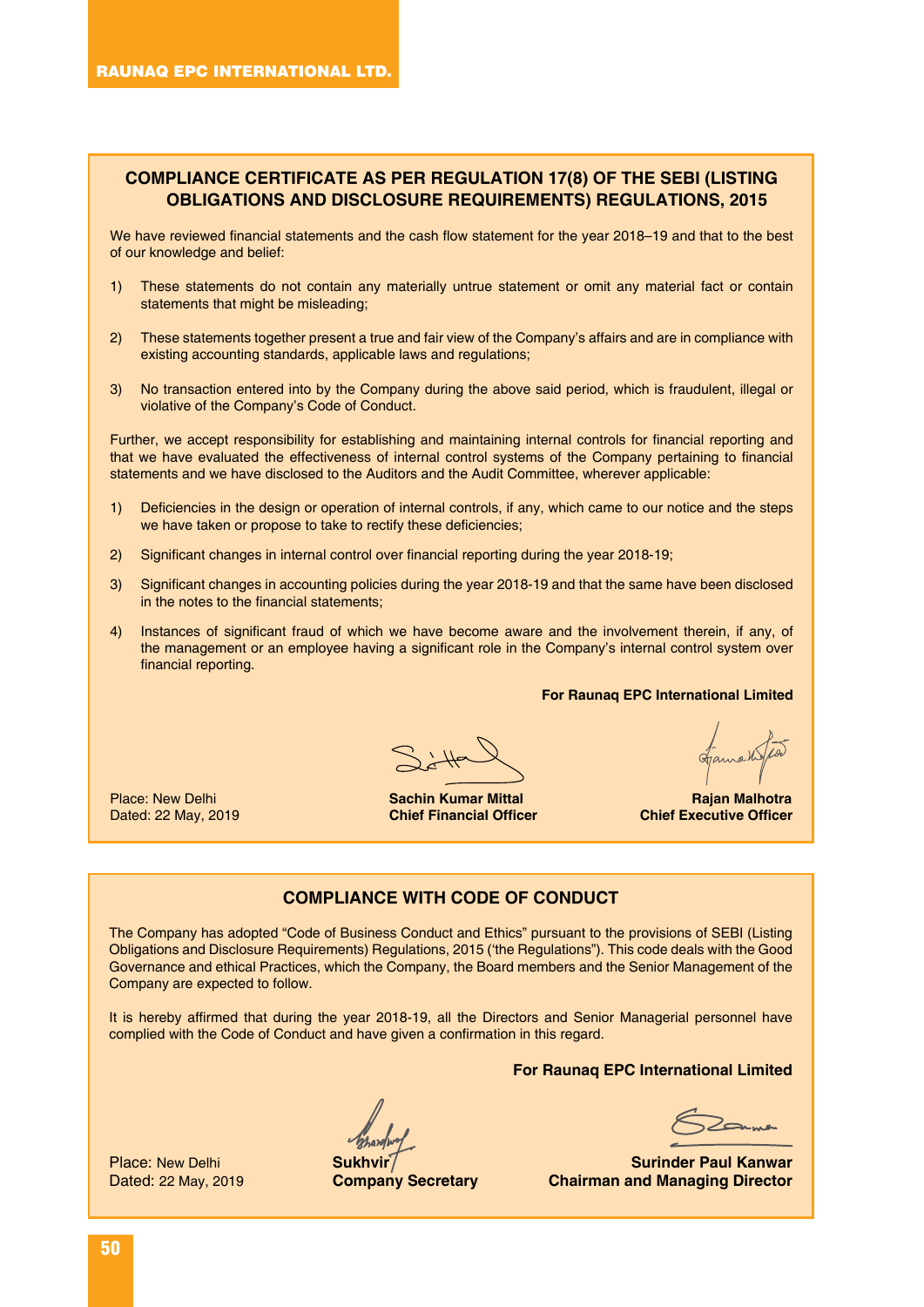### **COMPLIANCE CERTIFICATE AS PER REGULATION 17(8) OF THE SEBI (LISTING OBLIGATIONS AND DISCLOSURE REQUIREMENTS) REGULATIONS, 2015**

We have reviewed financial statements and the cash flow statement for the year 2018–19 and that to the best of our knowledge and belief:

- 1) These statements do not contain any materially untrue statement or omit any material fact or contain statements that might be misleading;
- 2) These statements together present a true and fair view of the Company's affairs and are in compliance with existing accounting standards, applicable laws and regulations;
- 3) No transaction entered into by the Company during the above said period, which is fraudulent, illegal or violative of the Company's Code of Conduct.

Further, we accept responsibility for establishing and maintaining internal controls for financial reporting and that we have evaluated the effectiveness of internal control systems of the Company pertaining to financial statements and we have disclosed to the Auditors and the Audit Committee, wherever applicable:

- 1) Deficiencies in the design or operation of internal controls, if any, which came to our notice and the steps we have taken or propose to take to rectify these deficiencies;
- 2) Significant changes in internal control over financial reporting during the year 2018-19;
- 3) Significant changes in accounting policies during the year 2018-19 and that the same have been disclosed in the notes to the financial statements;
- 4) Instances of significant fraud of which we have become aware and the involvement therein, if any, of the management or an employee having a significant role in the Company's internal control system over financial reporting.

**For Raunaq EPC International Limited**

Dated: 22 May, 2019

Place: New Delhi **Sachin Kumar Mittal Rajan Malhotra** 

### **COMPLIANCE WITH CODE OF CONDUCT**

The Company has adopted "Code of Business Conduct and Ethics" pursuant to the provisions of SEBI (Listing Obligations and Disclosure Requirements) Regulations, 2015 ('the Regulations"). This code deals with the Good Governance and ethical Practices, which the Company, the Board members and the Senior Management of the Company are expected to follow.

It is hereby affirmed that during the year 2018-19, all the Directors and Senior Managerial personnel have complied with the Code of Conduct and have given a confirmation in this regard.

**For Raunaq EPC International Limited**

Place: New Delhi **Sukhvir** Sukhvir Suchen Baul Kanwar **Surinder Paul Kanwar Surinder Paul Kanwar <b>Suring Surinder Paul Kanwar Chairman and Managing Director Company Secretary Chairman and Managing Director**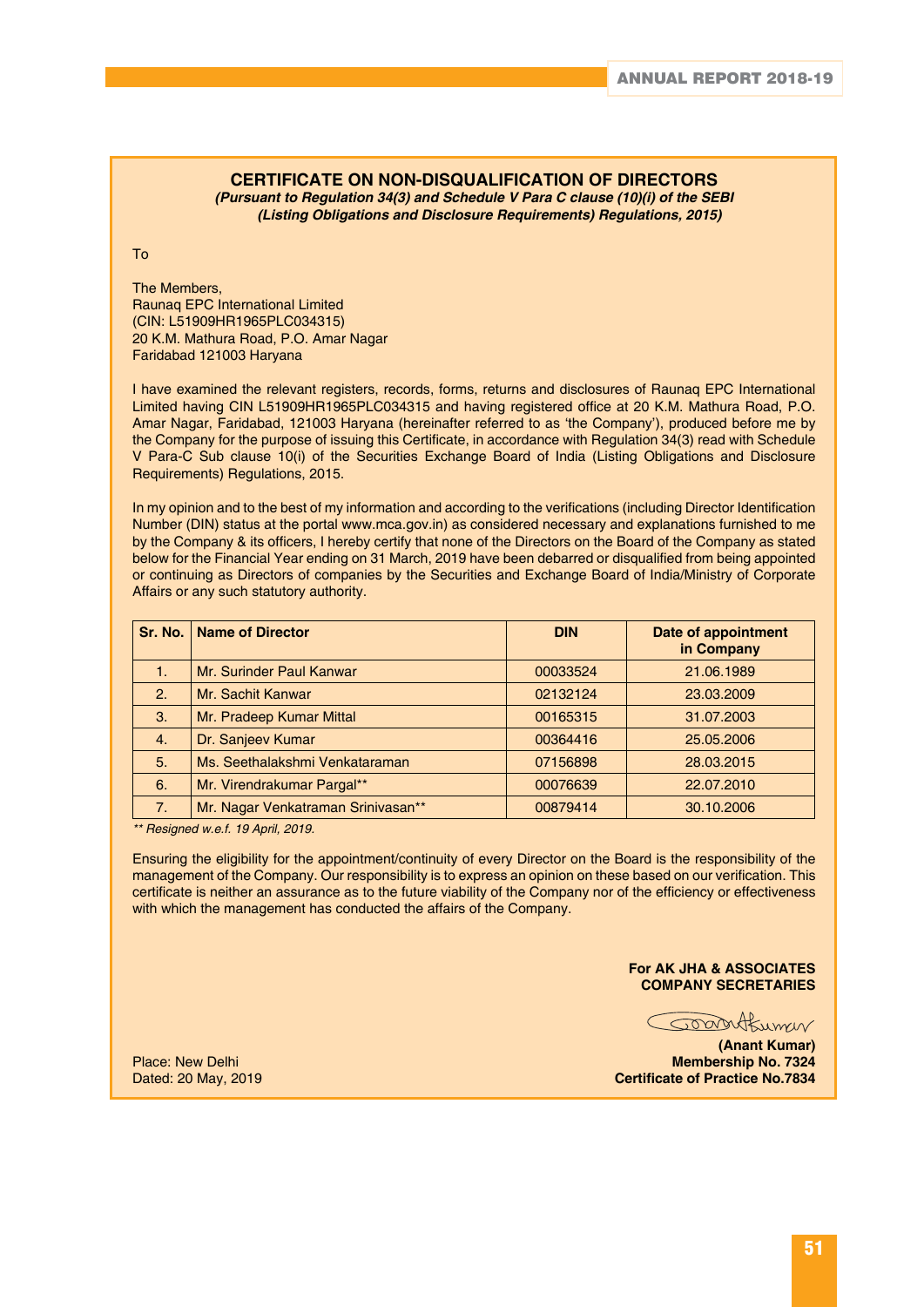### **CERTIFICATE ON NON-DISQUALIFICATION OF DIRECTORS**

*(Pursuant to Regulation 34(3) and Schedule V Para C clause (10)(i) of the SEBI (Listing Obligations and Disclosure Requirements) Regulations, 2015)*

To

The Members, Raunaq EPC International Limited (CIN: L51909HR1965PLC034315) 20 K.M. Mathura Road, P.O. Amar Nagar Faridabad 121003 Haryana

I have examined the relevant registers, records, forms, returns and disclosures of Raunaq EPC International Limited having CIN L51909HR1965PLC034315 and having registered office at 20 K.M. Mathura Road, P.O. Amar Nagar, Faridabad, 121003 Haryana (hereinafter referred to as 'the Company'), produced before me by the Company for the purpose of issuing this Certificate, in accordance with Regulation 34(3) read with Schedule V Para-C Sub clause 10(i) of the Securities Exchange Board of India (Listing Obligations and Disclosure Requirements) Regulations, 2015.

In my opinion and to the best of my information and according to the verifications (including Director Identification Number (DIN) status at the portal www.mca.gov.in) as considered necessary and explanations furnished to me by the Company & its officers, I hereby certify that none of the Directors on the Board of the Company as stated below for the Financial Year ending on 31 March, 2019 have been debarred or disqualified from being appointed or continuing as Directors of companies by the Securities and Exchange Board of India/Ministry of Corporate Affairs or any such statutory authority.

|    | Sr. No.   Name of Director         | <b>DIN</b> | Date of appointment<br>in Company |
|----|------------------------------------|------------|-----------------------------------|
| 1. | Mr. Surinder Paul Kanwar           | 00033524   | 21.06.1989                        |
| 2. | Mr. Sachit Kanwar                  | 02132124   | 23.03.2009                        |
| 3. | Mr. Pradeep Kumar Mittal           | 00165315   | 31.07.2003                        |
| 4. | Dr. Sanjeev Kumar                  | 00364416   | 25.05.2006                        |
| 5. | Ms. Seethalakshmi Venkataraman     | 07156898   | 28.03.2015                        |
| 6. | Mr. Virendrakumar Pargal**         | 00076639   | 22.07.2010                        |
| 7. | Mr. Nagar Venkatraman Srinivasan** | 00879414   | 30.10.2006                        |

*\*\* Resigned w.e.f. 19 April, 2019.*

Ensuring the eligibility for the appointment/continuity of every Director on the Board is the responsibility of the management of the Company. Our responsibility is to express an opinion on these based on our verification. This certificate is neither an assurance as to the future viability of the Company nor of the efficiency or effectiveness with which the management has conducted the affairs of the Company.

#### **For AK JHA & ASSOCIATES COMPANY SECRETARIES**

Joantbumer

**(Anant Kumar)** Place: New Delhi **Membership No. 7324 Certificate of Practice No.7834**